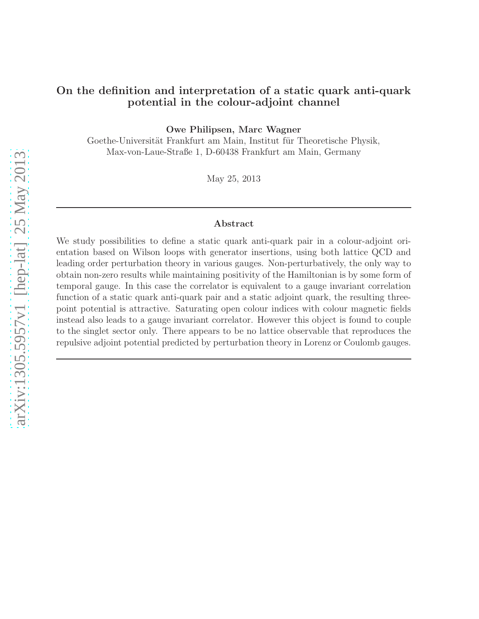## On the definition and interpretation of a static quark anti-quark potential in the colour-adjoint channel

Owe Philipsen, Marc Wagner

Goethe-Universität Frankfurt am Main, Institut für Theoretische Physik, Max-von-Laue-Straße 1, D-60438 Frankfurt am Main, Germany

May 25, 2013

#### Abstract

We study possibilities to define a static quark anti-quark pair in a colour-adjoint orientation based on Wilson loops with generator insertions, using both lattice QCD and leading order perturbation theory in various gauges. Non-perturbatively, the only way to obtain non-zero results while maintaining positivity of the Hamiltonian is by some form of temporal gauge. In this case the correlator is equivalent to a gauge invariant correlation function of a static quark anti-quark pair and a static adjoint quark, the resulting threepoint potential is attractive. Saturating open colour indices with colour magnetic fields instead also leads to a gauge invariant correlator. However this object is found to couple to the singlet sector only. There appears to be no lattice observable that reproduces the repulsive adjoint potential predicted by perturbation theory in Lorenz or Coulomb gauges.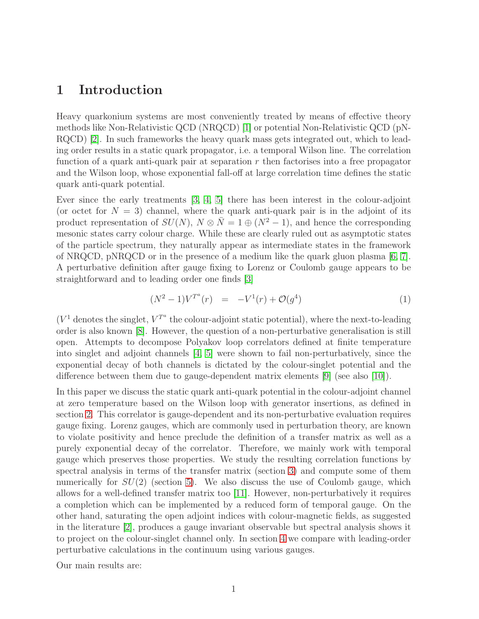# 1 Introduction

Heavy quarkonium systems are most conveniently treated by means of effective theory methods like Non-Relativistic QCD (NRQCD) [\[1\]](#page-23-0) or potential Non-Relativistic QCD (pN-RQCD) [\[2\]](#page-23-1). In such frameworks the heavy quark mass gets integrated out, which to leading order results in a static quark propagator, i.e. a temporal Wilson line. The correlation function of a quark anti-quark pair at separation  $r$  then factorises into a free propagator and the Wilson loop, whose exponential fall-off at large correlation time defines the static quark anti-quark potential.

Ever since the early treatments [\[3,](#page-23-2) [4,](#page-24-0) [5\]](#page-24-1) there has been interest in the colour-adjoint (or octet for  $N = 3$ ) channel, where the quark anti-quark pair is in the adjoint of its product representation of  $SU(N)$ ,  $N \otimes \overline{N} = 1 \oplus (N^2 - 1)$ , and hence the corresponding mesonic states carry colour charge. While these are clearly ruled out as asymptotic states of the particle spectrum, they naturally appear as intermediate states in the framework of NRQCD, pNRQCD or in the presence of a medium like the quark gluon plasma [\[6,](#page-24-2) [7\]](#page-24-3). A perturbative definition after gauge fixing to Lorenz or Coulomb gauge appears to be straightforward and to leading order one finds [\[3\]](#page-23-2)

<span id="page-1-0"></span>
$$
(N^2 - 1)V^{T^a}(r) = -V^1(r) + \mathcal{O}(g^4)
$$
 (1)

 $(V^1$  denotes the singlet,  $V^{T^a}$  the colour-adjoint static potential), where the next-to-leading order is also known [\[8\]](#page-24-4). However, the question of a non-perturbative generalisation is still open. Attempts to decompose Polyakov loop correlators defined at finite temperature into singlet and adjoint channels [\[4,](#page-24-0) [5\]](#page-24-1) were shown to fail non-perturbatively, since the exponential decay of both channels is dictated by the colour-singlet potential and the difference between them due to gauge-dependent matrix elements [\[9\]](#page-24-5) (see also [\[10\]](#page-24-6)).

In this paper we discuss the static quark anti-quark potential in the colour-adjoint channel at zero temperature based on the Wilson loop with generator insertions, as defined in section [2.](#page-2-0) This correlator is gauge-dependent and its non-perturbative evaluation requires gauge fixing. Lorenz gauges, which are commonly used in perturbation theory, are known to violate positivity and hence preclude the definition of a transfer matrix as well as a purely exponential decay of the correlator. Therefore, we mainly work with temporal gauge which preserves those properties. We study the resulting correlation functions by spectral analysis in terms of the transfer matrix (section [3\)](#page-4-0) and compute some of them numerically for  $SU(2)$  (section [5\)](#page-19-0). We also discuss the use of Coulomb gauge, which allows for a well-defined transfer matrix too [\[11\]](#page-24-7). However, non-perturbatively it requires a completion which can be implemented by a reduced form of temporal gauge. On the other hand, saturating the open adjoint indices with colour-magnetic fields, as suggested in the literature [\[2\]](#page-23-1), produces a gauge invariant observable but spectral analysis shows it to project on the colour-singlet channel only. In section [4](#page-14-0) we compare with leading-order perturbative calculations in the continuum using various gauges.

Our main results are: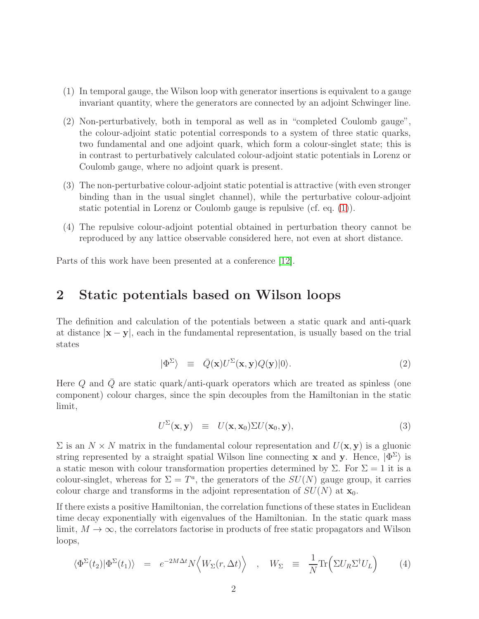- (1) In temporal gauge, the Wilson loop with generator insertions is equivalent to a gauge invariant quantity, where the generators are connected by an adjoint Schwinger line.
- (2) Non-perturbatively, both in temporal as well as in "completed Coulomb gauge", the colour-adjoint static potential corresponds to a system of three static quarks, two fundamental and one adjoint quark, which form a colour-singlet state; this is in contrast to perturbatively calculated colour-adjoint static potentials in Lorenz or Coulomb gauge, where no adjoint quark is present.
- (3) The non-perturbative colour-adjoint static potential is attractive (with even stronger binding than in the usual singlet channel), while the perturbative colour-adjoint static potential in Lorenz or Coulomb gauge is repulsive (cf. eq. [\(1\)](#page-1-0)).
- (4) The repulsive colour-adjoint potential obtained in perturbation theory cannot be reproduced by any lattice observable considered here, not even at short distance.

<span id="page-2-0"></span>Parts of this work have been presented at a conference [\[12\]](#page-24-8).

# 2 Static potentials based on Wilson loops

The definition and calculation of the potentials between a static quark and anti-quark at distance  $|x - y|$ , each in the fundamental representation, is usually based on the trial states

$$
|\Phi^{\Sigma}\rangle \equiv \bar{Q}(\mathbf{x})U^{\Sigma}(\mathbf{x}, \mathbf{y})Q(\mathbf{y})|0\rangle.
$$
 (2)

Here Q and  $\overline{Q}$  are static quark/anti-quark operators which are treated as spinless (one component) colour charges, since the spin decouples from the Hamiltonian in the static limit,

$$
U^{\Sigma}(\mathbf{x}, \mathbf{y}) \equiv U(\mathbf{x}, \mathbf{x}_0) \Sigma U(\mathbf{x}_0, \mathbf{y}), \qquad (3)
$$

 $\Sigma$  is an  $N \times N$  matrix in the fundamental colour representation and  $U(\mathbf{x}, \mathbf{y})$  is a gluonic string represented by a straight spatial Wilson line connecting **x** and **y**. Hence,  $|\Phi^{\Sigma}\rangle$  is a static meson with colour transformation properties determined by  $\Sigma$ . For  $\Sigma = 1$  it is a colour-singlet, whereas for  $\Sigma = T^a$ , the generators of the  $SU(N)$  gauge group, it carries colour charge and transforms in the adjoint representation of  $SU(N)$  at  $\mathbf{x}_0$ .

If there exists a positive Hamiltonian, the correlation functions of these states in Euclidean time decay exponentially with eigenvalues of the Hamiltonian. In the static quark mass limit,  $M \to \infty$ , the correlators factorise in products of free static propagators and Wilson loops,

<span id="page-2-1"></span>
$$
\langle \Phi^{\Sigma}(t_2) | \Phi^{\Sigma}(t_1) \rangle = e^{-2M\Delta t} N \langle W_{\Sigma}(r, \Delta t) \rangle , \quad W_{\Sigma} \equiv \frac{1}{N} \text{Tr} \Big( \Sigma U_R \Sigma^{\dagger} U_L \Big) \tag{4}
$$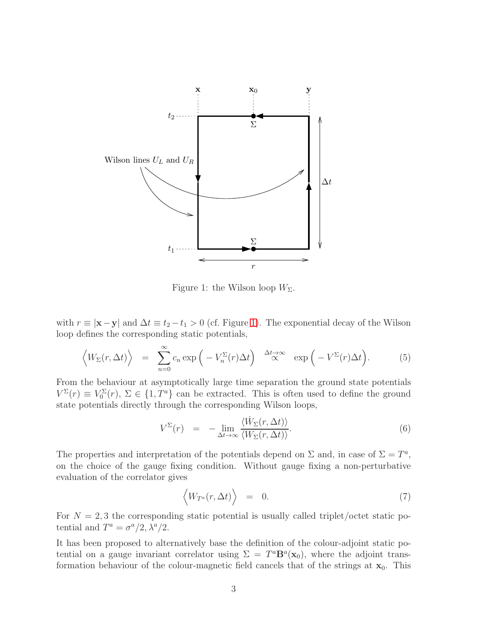

<span id="page-3-0"></span>Figure 1: the Wilson loop  $W_{\Sigma}$ .

with  $r \equiv |\mathbf{x} - \mathbf{y}|$  and  $\Delta t \equiv t_2 - t_1 > 0$  (cf. Figure [1\)](#page-3-0). The exponential decay of the Wilson loop defines the corresponding static potentials,

$$
\left\langle W_{\Sigma}(r,\Delta t)\right\rangle = \sum_{n=0}^{\infty} c_n \exp\left(-V_n^{\Sigma}(r)\Delta t\right) \stackrel{\Delta t \to \infty}{\propto} \exp\left(-V^{\Sigma}(r)\Delta t\right). \tag{5}
$$

From the behaviour at asymptotically large time separation the ground state potentials  $V^{\Sigma}(r) \equiv V_0^{\Sigma}(r)$ ,  $\Sigma \in \{1, T^a\}$  can be extracted. This is often used to define the ground state potentials directly through the corresponding Wilson loops,

$$
V^{\Sigma}(r) = -\lim_{\Delta t \to \infty} \frac{\langle \dot{W}_{\Sigma}(r, \Delta t) \rangle}{\langle W_{\Sigma}(r, \Delta t) \rangle}.
$$
\n(6)

The properties and interpretation of the potentials depend on  $\Sigma$  and, in case of  $\Sigma = T^a$ , on the choice of the gauge fixing condition. Without gauge fixing a non-perturbative evaluation of the correlator gives

$$
\langle W_{T^a}(r,\Delta t)\rangle = 0. \tag{7}
$$

For  $N = 2, 3$  the corresponding static potential is usually called triplet/octet static potential and  $T^a = \sigma^a/2, \lambda^a/2$ .

It has been proposed to alternatively base the definition of the colour-adjoint static potential on a gauge invariant correlator using  $\Sigma = T^a \mathbf{B}^a(\mathbf{x}_0)$ , where the adjoint transformation behaviour of the colour-magnetic field cancels that of the strings at  $x_0$ . This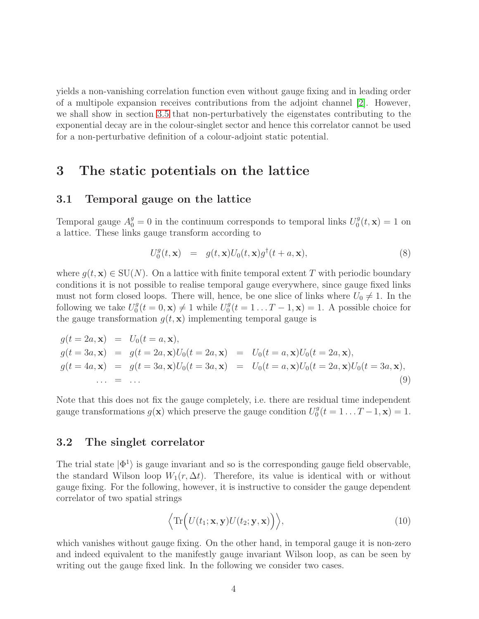yields a non-vanishing correlation function even without gauge fixing and in leading order of a multipole expansion receives contributions from the adjoint channel [\[2\]](#page-23-1). However, we shall show in section [3.5](#page-10-0) that non-perturbatively the eigenstates contributing to the exponential decay are in the colour-singlet sector and hence this correlator cannot be used for a non-perturbative definition of a colour-adjoint static potential.

# <span id="page-4-2"></span><span id="page-4-0"></span>3 The static potentials on the lattice

#### 3.1 Temporal gauge on the lattice

Temporal gauge  $A_0^g = 0$  in the continuum corresponds to temporal links  $U_0^g$  $\binom{g}{0}(t, \mathbf{x}) = 1$  on a lattice. These links gauge transform according to

$$
U_0^g(t, \mathbf{x}) = g(t, \mathbf{x}) U_0(t, \mathbf{x}) g^{\dagger}(t + a, \mathbf{x}), \tag{8}
$$

where  $g(t, \mathbf{x}) \in \text{SU}(N)$ . On a lattice with finite temporal extent T with periodic boundary conditions it is not possible to realise temporal gauge everywhere, since gauge fixed links must not form closed loops. There will, hence, be one slice of links where  $U_0 \neq 1$ . In the following we take  $U_0^g$  $C_0^g(t=0,\mathbf{x})\neq 1$  while  $U_0^g$  $0<sup>g</sup>(t = 1...T - 1, \mathbf{x}) = 1.$  A possible choice for the gauge transformation  $g(t, \mathbf{x})$  implementing temporal gauge is

<span id="page-4-3"></span>
$$
g(t = 2a, \mathbf{x}) = U_0(t = a, \mathbf{x}),
$$
  
\n
$$
g(t = 3a, \mathbf{x}) = g(t = 2a, \mathbf{x})U_0(t = 2a, \mathbf{x}) = U_0(t = a, \mathbf{x})U_0(t = 2a, \mathbf{x}),
$$
  
\n
$$
g(t = 4a, \mathbf{x}) = g(t = 3a, \mathbf{x})U_0(t = 3a, \mathbf{x}) = U_0(t = a, \mathbf{x})U_0(t = 2a, \mathbf{x})U_0(t = 3a, \mathbf{x}),
$$
  
\n... = ... (9)

Note that this does not fix the gauge completely, i.e. there are residual time independent gauge transformations  $g(\mathbf{x})$  which preserve the gauge condition  $U_0^g$  $T_0^g(t=1...T-1,\mathbf{x})=1.$ 

#### <span id="page-4-1"></span>3.2 The singlet correlator

The trial state  $|\Phi^1\rangle$  is gauge invariant and so is the corresponding gauge field observable, the standard Wilson loop  $W_1(r, \Delta t)$ . Therefore, its value is identical with or without gauge fixing. For the following, however, it is instructive to consider the gauge dependent correlator of two spatial strings

<span id="page-4-4"></span>
$$
\langle \text{Tr}\Big(U(t_1; \mathbf{x}, \mathbf{y})U(t_2; \mathbf{y}, \mathbf{x})\Big)\rangle,
$$
 (10)

which vanishes without gauge fixing. On the other hand, in temporal gauge it is non-zero and indeed equivalent to the manifestly gauge invariant Wilson loop, as can be seen by writing out the gauge fixed link. In the following we consider two cases.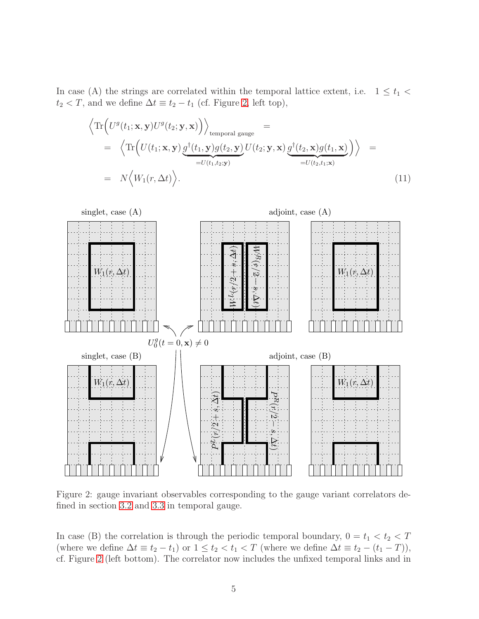In case (A) the strings are correlated within the temporal lattice extent, i.e.  $1 \le t_1$  $t_2 < T$ , and we define  $\Delta t \equiv t_2 - t_1$  (cf. Figure [2,](#page-5-0) left top),

$$
\left\langle \operatorname{Tr}\left( U^g(t_1; \mathbf{x}, \mathbf{y}) U^g(t_2; \mathbf{y}, \mathbf{x}) \right) \right\rangle_{\text{temporal gauge}} =\n \left\langle \operatorname{Tr}\left( U(t_1; \mathbf{x}, \mathbf{y}) \underbrace{g^{\dagger}(t_1, \mathbf{y}) g(t_2, \mathbf{y})}_{=U(t_1, t_2; \mathbf{y})} U(t_2; \mathbf{y}, \mathbf{x}) \underbrace{g^{\dagger}(t_2, \mathbf{x}) g(t_1, \mathbf{x})}_{=U(t_2, t_1; \mathbf{x})} \right) \right\rangle =\n \left\langle N \left\langle W_1(r, \Delta t) \right\rangle.
$$
\n(11)



<span id="page-5-0"></span>Figure 2: gauge invariant observables corresponding to the gauge variant correlators defined in section [3.2](#page-4-1) and [3.3](#page-6-0) in temporal gauge.

In case (B) the correlation is through the periodic temporal boundary,  $0 = t_1 < t_2 < T$ (where we define  $\Delta t \equiv t_2 - t_1$ ) or  $1 \le t_2 < t_1 < T$  (where we define  $\Delta t \equiv t_2 - (t_1 - T)$ ), cf. Figure [2](#page-5-0) (left bottom). The correlator now includes the unfixed temporal links and in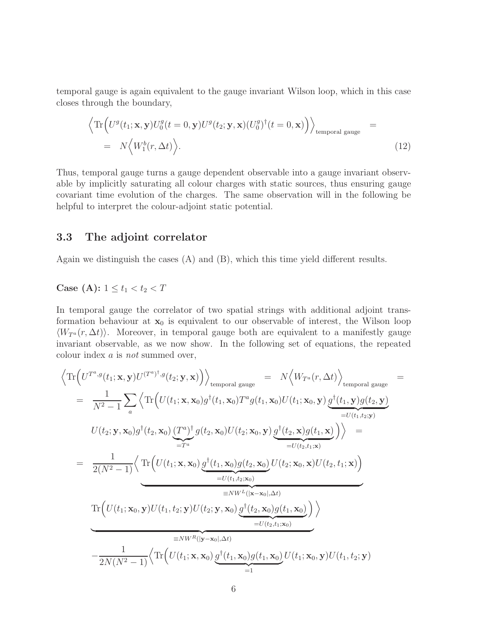temporal gauge is again equivalent to the gauge invariant Wilson loop, which in this case closes through the boundary,

$$
\left\langle \text{Tr}\left( U^g(t_1; \mathbf{x}, \mathbf{y}) U_0^g(t=0, \mathbf{y}) U^g(t_2; \mathbf{y}, \mathbf{x}) (U_0^g)^\dagger(t=0, \mathbf{x}) \right) \right\rangle_{\text{temporal gauge}} = N \left\langle W_1^b(r, \Delta t) \right\rangle.
$$
\n(12)

Thus, temporal gauge turns a gauge dependent observable into a gauge invariant observable by implicitly saturating all colour charges with static sources, thus ensuring gauge covariant time evolution of the charges. The same observation will in the following be helpful to interpret the colour-adjoint static potential.

### <span id="page-6-0"></span>3.3 The adjoint correlator

Again we distinguish the cases (A) and (B), which this time yield different results.

#### Case (A):  $1 \le t_1 < t_2 < T$

In temporal gauge the correlator of two spatial strings with additional adjoint transformation behaviour at  $x_0$  is equivalent to our observable of interest, the Wilson loop  $\langle W_{T^a}(r, \Delta t) \rangle$ . Moreover, in temporal gauge both are equivalent to a manifestly gauge invariant observable, as we now show. In the following set of equations, the repeated colour index a is not summed over,

<span id="page-6-1"></span>
$$
\langle \operatorname{Tr}\left(U^{T^a,g}(t_1; \mathbf{x}, \mathbf{y})U^{(T^a)^{\dagger},g}(t_2; \mathbf{y}, \mathbf{x})\right)\rangle_{\text{temporal gauge}} = N\langle W_{T^a}(r, \Delta t)\rangle_{\text{temporal gauge}}
$$
\n
$$
= \frac{1}{N^2 - 1} \sum_{a} \langle \operatorname{Tr}\left(U(t_1; \mathbf{x}, \mathbf{x}_0)g^{\dagger}(t_1, \mathbf{x}_0)T^a g(t_1, \mathbf{x}_0)U(t_1; \mathbf{x}_0, \mathbf{y})\underbrace{g^{\dagger}(t_1, \mathbf{y})g(t_2, \mathbf{y})}_{=U(t_1, t_2; \mathbf{y})}\right)\rangle_{\text{temporal gauge}}
$$
\n
$$
= \frac{1}{2(N^2 - 1)} \langle \operatorname{Tr}\left(U(t_1; \mathbf{x}, \mathbf{x}_0)\underbrace{g^{\dagger}(t_2, \mathbf{x}_0)U(t_2; \mathbf{x}_0, \mathbf{y})g^{\dagger}(t_2, \mathbf{x}_0)g(t_1, \mathbf{x})}_{=U(t_2, t_1; \mathbf{x})}\right)\rangle = \frac{1}{2(N^2 - 1)} \langle \operatorname{Tr}\left(U(t_1; \mathbf{x}, \mathbf{x}_0)\underbrace{g^{\dagger}(t_1, \mathbf{x}_0)g(t_2, \mathbf{x}_0)}_{=NW^L((\mathbf{x} - \mathbf{x}_0), \Delta t)}U(t_2; \mathbf{x}_0, \mathbf{x})U(t_2, t_1; \mathbf{x})\right)\rangle_{\text{imporal gauge}}
$$
\n
$$
\frac{1}{2N(N^2 - 1)} \langle \operatorname{Tr}\left(U(t_1; \mathbf{x}, \mathbf{x}_0)\underbrace{g^{\dagger}(t_2, \mathbf{x}_0)g(t_1, \mathbf{x}_0)}_{=1}U(t_2, t_1; \mathbf{x}_0)\right)\rangle_{\text{imporal gauge}}
$$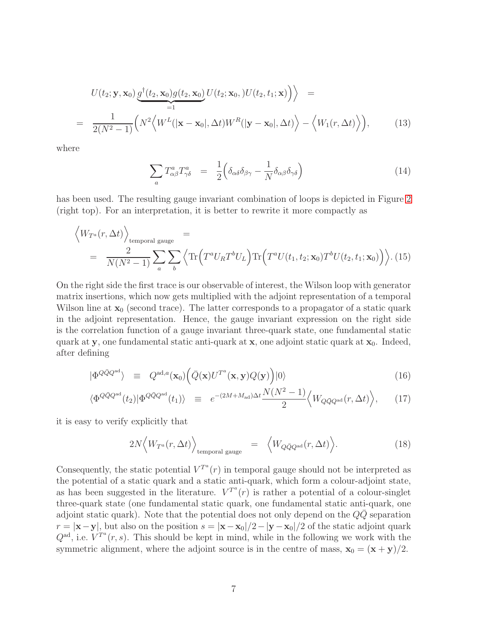$$
U(t_2; \mathbf{y}, \mathbf{x}_0) \underbrace{g^{\dagger}(t_2, \mathbf{x}_0) g(t_2, \mathbf{x}_0)}_{=1} U(t_2; \mathbf{x}_0,) U(t_2, t_1; \mathbf{x}) \Big) \Big\rangle =
$$
  
= 
$$
\frac{1}{2(N^2 - 1)} \Big( N^2 \Big\langle W^L(|\mathbf{x} - \mathbf{x}_0|, \Delta t) W^R(|\mathbf{y} - \mathbf{x}_0|, \Delta t) \Big\rangle - \Big\langle W_1(r, \Delta t) \Big\rangle \Big), \qquad (13)
$$

where

$$
\sum_{a} T^{a}_{\alpha\beta} T^{a}_{\gamma\delta} = \frac{1}{2} \Big( \delta_{\alpha\delta} \delta_{\beta\gamma} - \frac{1}{N} \delta_{\alpha\beta} \delta_{\gamma\delta} \Big) \tag{14}
$$

has been used. The resulting gauge invariant combination of loops is depicted in Figure [2](#page-5-0) (right top). For an interpretation, it is better to rewrite it more compactly as

<span id="page-7-0"></span>
$$
\left\langle W_{T^a}(r,\Delta t)\right\rangle_{\text{temporal gauge}} = \frac{2}{N(N^2-1)} \sum_a \sum_b \left\langle \text{Tr}\left(T^a U_R T^b U_L\right) \text{Tr}\left(T^a U(t_1,t_2;\mathbf{x}_0) T^b U(t_2,t_1;\mathbf{x}_0)\right) \right\rangle. (15)
$$

On the right side the first trace is our observable of interest, the Wilson loop with generator matrix insertions, which now gets multiplied with the adjoint representation of a temporal Wilson line at  $x_0$  (second trace). The latter corresponds to a propagator of a static quark in the adjoint representation. Hence, the gauge invariant expression on the right side is the correlation function of a gauge invariant three-quark state, one fundamental static quark at y, one fundamental static anti-quark at  $x$ , one adjoint static quark at  $x_0$ . Indeed, after defining

$$
|\Phi^{Q\bar{Q}Q^{ad}}\rangle \equiv Q^{ad,a}(\mathbf{x}_0) \Big(\bar{Q}(\mathbf{x})U^{T^a}(\mathbf{x}, \mathbf{y})Q(\mathbf{y})\Big)|0\rangle \tag{16}
$$

$$
\langle \Phi^{Q\bar{Q}Q^{\text{ad}}}(t_2)|\Phi^{Q\bar{Q}Q^{\text{ad}}}(t_1)\rangle \equiv e^{-(2M+M_{\text{ad}})\Delta t}\frac{N(N^2-1)}{2}\Big\langle W_{Q\bar{Q}Q^{\text{ad}}}(r,\Delta t)\Big\rangle, \qquad (17)
$$

it is easy to verify explicitly that

$$
2N\left\langle W_{T^a}(r,\Delta t)\right\rangle_{\text{temporal gauge}} = \left\langle W_{Q\bar{Q}Q^{ad}}(r,\Delta t)\right\rangle. \tag{18}
$$

Consequently, the static potential  $V^{T^a}(r)$  in temporal gauge should not be interpreted as the potential of a static quark and a static anti-quark, which form a colour-adjoint state, as has been suggested in the literature.  $V^{T^a}(r)$  is rather a potential of a colour-singlet three-quark state (one fundamental static quark, one fundamental static anti-quark, one adjoint static quark). Note that the potential does not only depend on the  $Q\bar{Q}$  separation  $r = |\mathbf{x} - \mathbf{y}|$ , but also on the position  $s = |\mathbf{x} - \mathbf{x}_0|/2 - |\mathbf{y} - \mathbf{x}_0|/2$  of the static adjoint quark  $Q^{ad}$ , i.e.  $V^{T^a}(r, s)$ . This should be kept in mind, while in the following we work with the symmetric alignment, where the adjoint source is in the centre of mass,  $\mathbf{x}_0 = (\mathbf{x} + \mathbf{y})/2$ .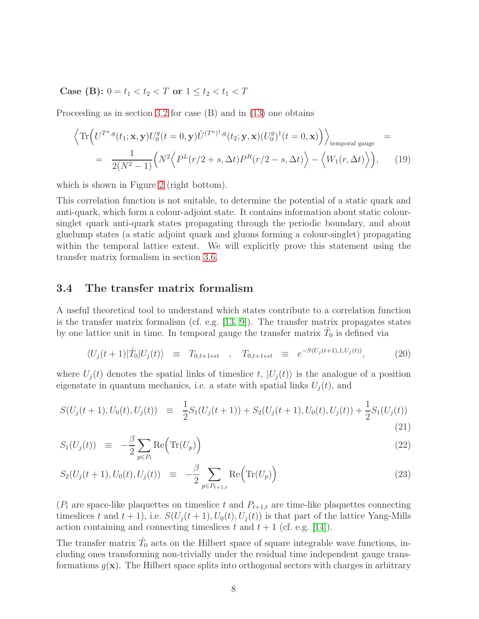<span id="page-8-0"></span>Case (B):  $0 = t_1 < t_2 < T$  or  $1 \le t_2 < t_1 < T$ 

Proceeding as in section [3.2](#page-4-1) for case (B) and in [\(13\)](#page-6-1) one obtains

$$
\left\langle \text{Tr}\left( U^{T^a,g}(t_1; \mathbf{x}, \mathbf{y}) U_0^g(t=0, \mathbf{y}) \tilde{U}^{(T^a)^{\dagger},g}(t_2; \mathbf{y}, \mathbf{x}) (U_0^g)^{\dagger}(t=0, \mathbf{x}) \right) \right\rangle_{\text{temporal gauge}}
$$
\n
$$
= \frac{1}{2(N^2-1)} \left( N^2 \left\langle P^L(r/2+s, \Delta t) P^R(r/2-s, \Delta t) \right\rangle - \left\langle W_1(r, \Delta t) \right\rangle \right), \tag{19}
$$

which is shown in Figure [2](#page-5-0) (right bottom).

This correlation function is not suitable, to determine the potential of a static quark and anti-quark, which form a colour-adjoint state. It contains information about static coloursinglet quark anti-quark states propagating through the periodic boundary, and about gluelump states (a static adjoint quark and gluons forming a colour-singlet) propagating within the temporal lattice extent. We will explicitly prove this statement using the transfer matrix formalism in section [3.6.](#page-12-0)

#### 3.4 The transfer matrix formalism

A useful theoretical tool to understand which states contribute to a correlation function is the transfer matrix formalism (cf. e.g. [\[13,](#page-24-9) [9\]](#page-24-5)). The transfer matrix propagates states by one lattice unit in time. In temporal gauge the transfer matrix  $\hat{T}_0$  is defined via

$$
\langle U_j(t+1)|\hat{T}_0|U_j(t)\rangle \equiv T_{0,t+1 \leftrightarrow t} , \quad T_{0,t+1 \leftrightarrow t} \equiv e^{-S(U_j(t+1),1,U_j(t))}, \quad (20)
$$

where  $U_i(t)$  denotes the spatial links of timeslice t,  $|U_i(t)\rangle$  is the analogue of a position eigenstate in quantum mechanics, i.e. a state with spatial links  $U_j(t)$ , and

<span id="page-8-1"></span>
$$
S(U_j(t+1), U_0(t), U_j(t)) \equiv \frac{1}{2} S_1(U_j(t+1)) + S_2(U_j(t+1), U_0(t), U_j(t)) + \frac{1}{2} S_1(U_j(t))
$$
\n(21)

$$
S_1(U_j(t)) \equiv -\frac{\beta}{2} \sum_{p \in P_t} \text{Re} \Big( \text{Tr}(U_p) \Big) \tag{22}
$$

$$
S_2(U_j(t+1), U_0(t), U_j(t)) \equiv -\frac{\beta}{2} \sum_{p \in P_{t+1,t}} \text{Re}\Big(\text{Tr}(U_p)\Big) \tag{23}
$$

 $(P_t$  are space-like plaquettes on timeslice t and  $P_{t+1,t}$  are time-like plaquettes connecting timeslices t and  $t + 1$ , i.e.  $S(U_i(t + 1), U_0(t), U_i(t))$  is that part of the lattice Yang-Mills action containing and connecting timeslices t and  $t + 1$  (cf. e.g. [\[14\]](#page-24-10)).

The transfer matrix  $\hat{T}_0$  acts on the Hilbert space of square integrable wave functions, including ones transforming non-trivially under the residual time independent gauge transformations  $g(x)$ . The Hilbert space splits into orthogonal sectors with charges in arbitrary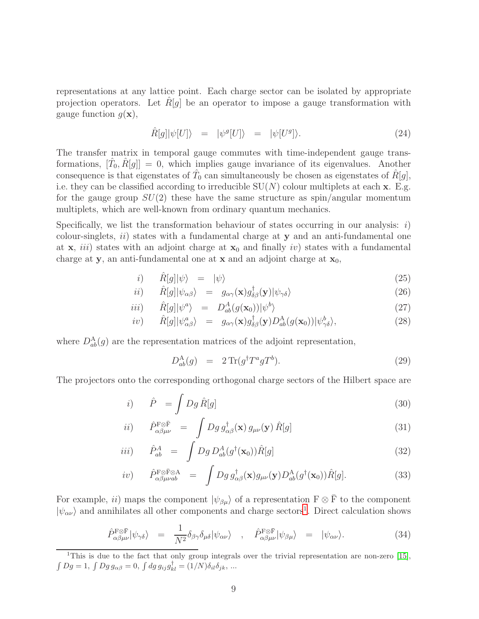representations at any lattice point. Each charge sector can be isolated by appropriate projection operators. Let  $R[g]$  be an operator to impose a gauge transformation with gauge function  $g(\mathbf{x})$ ,

$$
\hat{R}[g]|\psi[U]\rangle = |\psi^g[U]\rangle = |\psi[U^g]\rangle. \tag{24}
$$

The transfer matrix in temporal gauge commutes with time-independent gauge transformations,  $[\hat{T}_0, \hat{R}[g]] = 0$ , which implies gauge invariance of its eigenvalues. Another consequence is that eigenstates of  $\hat{T}_0$  can simultaneously be chosen as eigenstates of  $\hat{R}[g]$ , i.e. they can be classified according to irreducible  $SU(N)$  colour multiplets at each x. E.g. for the gauge group  $SU(2)$  these have the same structure as spin/angular momentum multiplets, which are well-known from ordinary quantum mechanics.

Specifically, we list the transformation behaviour of states occurring in our analysis:  $i)$ colour-singlets,  $ii)$  states with a fundamental charge at y and an anti-fundamental one at  $x$ , *iii*) states with an adjoint charge at  $x_0$  and finally *iv*) states with a fundamental charge at y, an anti-fundamental one at x and an adjoint charge at  $x_0$ ,

<span id="page-9-1"></span>
$$
i) \qquad \hat{R}[g]|\psi\rangle = |\psi\rangle \tag{25}
$$

$$
ii) \qquad \hat{R}[g]|\psi_{\alpha\beta}\rangle = g_{\alpha\gamma}(\mathbf{x})g_{\delta\beta}^{\dagger}(\mathbf{y})|\psi_{\gamma\delta}\rangle \tag{26}
$$

$$
iii) \qquad \hat{R}[g]|\psi^a\rangle = D_{ab}^A(g(\mathbf{x}_0))|\psi^b\rangle \tag{27}
$$

$$
iv) \qquad \hat{R}[g]|\psi^{a}_{\alpha\beta}\rangle = g_{\alpha\gamma}(\mathbf{x})g^{\dagger}_{\delta\beta}(\mathbf{y})D^{\mathcal{A}}_{ab}(g(\mathbf{x}_{0}))|\psi^{b}_{\gamma\delta}\rangle, \tag{28}
$$

where  $D_{ab}^{A}(g)$  are the representation matrices of the adjoint representation,

$$
D_{ab}^{\mathcal{A}}(g) = 2 \operatorname{Tr}(g^{\dagger} T^a g T^b). \tag{29}
$$

The projectors onto the corresponding orthogonal charge sectors of the Hilbert space are

$$
i) \qquad \hat{P} = \int Dg \,\hat{R}[g] \tag{30}
$$

$$
ii) \quad \hat{P}_{\alpha\beta\mu\nu}^{\text{F}\otimes\bar{\text{F}}} \quad = \quad \int Dg \, g_{\alpha\beta}^{\dagger}(\mathbf{x}) \, g_{\mu\nu}(\mathbf{y}) \, \hat{R}[g] \tag{31}
$$

$$
iii) \qquad \hat{P}_{ab}^A \quad = \quad \int Dg \, D_{ab}^A(g^\dagger(\mathbf{x}_0)) \hat{R}[g] \tag{32}
$$

$$
iv) \qquad \hat{P}_{\alpha\beta\mu\nu ab}^{\text{F}\otimes\bar{\text{F}}\otimes A} \quad = \quad \int Dg \, g_{\alpha\beta}^{\dagger}(\mathbf{x}) g_{\mu\nu}(\mathbf{y}) D_{ab}^{A}(g^{\dagger}(\mathbf{x}_{0})) \hat{R}[g]. \tag{33}
$$

For example, *ii*) maps the component  $|\psi_{\beta\mu}\rangle$  of a representation  $F \otimes \overline{F}$  to the component  $|\psi_{\alpha\nu}\rangle$  and annihilates all other components and charge sectors<sup>[1](#page-9-0)</sup>. Direct calculation shows

$$
\hat{P}_{\alpha\beta\mu\nu}^{\text{F}\otimes\bar{\text{F}}}|\psi_{\gamma\delta}\rangle = \frac{1}{N^2}\delta_{\beta\gamma}\delta_{\mu\delta}|\psi_{\alpha\nu}\rangle \quad , \quad \hat{P}_{\alpha\beta\mu\nu}^{\text{F}\otimes\bar{\text{F}}}|\psi_{\beta\mu}\rangle = |\psi_{\alpha\nu}\rangle. \tag{34}
$$

<span id="page-9-0"></span><sup>1</sup>This is due to the fact that only group integrals over the trivial representation are non-zero [\[15\]](#page-24-11),  $\int Dg = 1, \int Dg g_{\alpha\beta} = 0, \int dg g_{ij}g_{kl}^{\dagger} = (1/N)\delta_{il}\delta_{jk}, ...$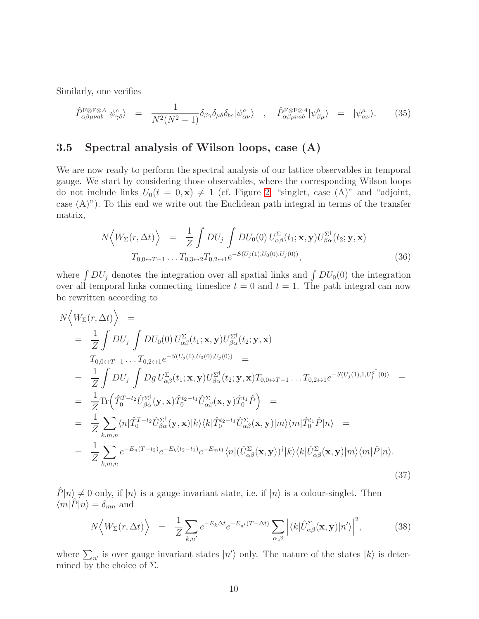Similarly, one verifies

$$
\hat{P}_{\alpha\beta\mu\nu ab}^{\text{F}\otimes\text{F}}|\psi_{\gamma\delta}^{c}\rangle = \frac{1}{N^{2}(N^{2}-1)}\delta_{\beta\gamma}\delta_{\mu\delta}\delta_{bc}|\psi_{\alpha\nu}^{a}\rangle \quad , \quad \hat{P}_{\alpha\beta\mu\nu ab}^{\text{F}\otimes\text{F}\otimes A}|\psi_{\beta\mu}^{b}\rangle = |\psi_{\alpha\nu}^{a}\rangle. \tag{35}
$$

## <span id="page-10-0"></span>3.5 Spectral analysis of Wilson loops, case (A)

We are now ready to perform the spectral analysis of our lattice observables in temporal gauge. We start by considering those observables, where the corresponding Wilson loops do not include links  $U_0(t = 0, \mathbf{x}) \neq 1$  (cf. Figure [2,](#page-5-0) "singlet, case (A)" and "adjoint, case  $(A)$ "). To this end we write out the Euclidean path integral in terms of the transfer matrix,

$$
N\Big\langle W_{\Sigma}(r,\Delta t)\Big\rangle = \frac{1}{Z} \int DU_j \int DU_0(0) U_{\alpha\beta}^{\Sigma}(t_1; \mathbf{x}, \mathbf{y}) U_{\beta\alpha}^{\Sigma^{\dagger}}(t_2; \mathbf{y}, \mathbf{x})
$$
  

$$
T_{0,0 \leftrightarrow T-1} \dots T_{0,3 \leftrightarrow 2} T_{0,2 \leftrightarrow 1} e^{-S(U_j(1), U_0(0), U_j(0))},
$$
 (36)

where  $\int DU_j$  denotes the integration over all spatial links and  $\int DU_0(0)$  the integration over all temporal links connecting timeslice  $t = 0$  and  $t = 1$ . The path integral can now be rewritten according to

$$
N\langle W_{\Sigma}(r,\Delta t)\rangle =
$$
\n
$$
= \frac{1}{Z} \int DU_{j} \int DU_{0}(0) U_{\alpha\beta}^{\Sigma}(t_{1}; \mathbf{x}, \mathbf{y}) U_{\beta\alpha}^{\Sigma^{\dagger}}(t_{2}; \mathbf{y}, \mathbf{x})
$$
\n
$$
T_{0,0\leftrightarrow T-1} \dots T_{0,2\leftrightarrow 1} e^{-S(U_{j}(1),U_{0}(0),U_{j}(0))} =
$$
\n
$$
= \frac{1}{Z} \int DU_{j} \int Dg U_{\alpha\beta}^{\Sigma}(t_{1}; \mathbf{x}, \mathbf{y}) U_{\beta\alpha}^{\Sigma^{\dagger}}(t_{2}; \mathbf{y}, \mathbf{x}) T_{0,0\leftrightarrow T-1} \dots T_{0,2\leftrightarrow 1} e^{-S(U_{j}(1),1,U_{j}^{g^{\dagger}}(0))} =
$$
\n
$$
= \frac{1}{Z} \text{Tr}(\hat{T}_{0}^{T-t_{2}} \hat{U}_{\beta\alpha}^{\Sigma^{\dagger}}(\mathbf{y}, \mathbf{x}) \hat{T}_{0}^{t_{2}-t_{1}} \hat{U}_{\alpha\beta}^{\Sigma}(\mathbf{x}, \mathbf{y}) \hat{T}_{0}^{t_{1}} \hat{P}) =
$$
\n
$$
= \frac{1}{Z} \sum_{k,m,n} \langle n | \hat{T}_{0}^{T-t_{2}} \hat{U}_{\beta\alpha}^{\Sigma^{\dagger}}(\mathbf{y}, \mathbf{x}) |k \rangle \langle k | \hat{T}_{0}^{t_{2}-t_{1}} \hat{U}_{\alpha\beta}^{\Sigma}(\mathbf{x}, \mathbf{y}) |m \rangle \langle m | \hat{T}_{0}^{t_{1}} \hat{P} |n \rangle =
$$
\n
$$
= \frac{1}{Z} \sum_{k,m,n} e^{-E_{n}(T-t_{2})} e^{-E_{k}(t_{2}-t_{1})} e^{-E_{m}t_{1}} \langle n | (\hat{U}_{\alpha\beta}^{\Sigma}(\mathbf{x}, \mathbf{y}))^{\dagger} |k \rangle \langle k | \hat{U}_{\alpha\beta}^{\Sigma}(\mathbf{x}, \mathbf{y}) |m \rangle \langle m | \hat{P} |n \rangle.
$$
\n(37)

 $\hat{P}|n\rangle \neq 0$  only, if  $|n\rangle$  is a gauge invariant state, i.e. if  $|n\rangle$  is a colour-singlet. Then  $\langle m|\hat{P}|n\rangle = \delta_{mn}$  and

$$
N\Big\langle W_{\Sigma}(r,\Delta t)\Big\rangle = \frac{1}{Z} \sum_{k,n'} e^{-E_k \Delta t} e^{-E_{n'}(T-\Delta t)} \sum_{\alpha,\beta} \Big| \langle k | \hat{U}_{\alpha\beta}^{\Sigma}(\mathbf{x}, \mathbf{y}) | n' \rangle \Big|^2, \tag{38}
$$

where  $\sum_{n'}$  is over gauge invariant states  $|n'\rangle$  only. The nature of the states  $|k\rangle$  is determined by the choice of  $\Sigma$ .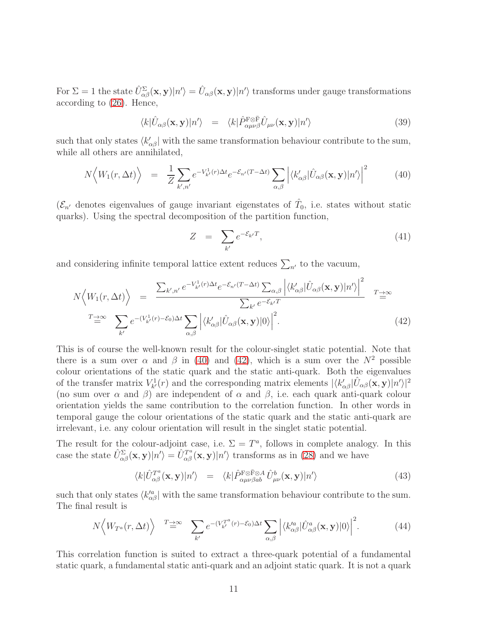For  $\Sigma = 1$  the state  $\hat{U}^{\Sigma}_{\alpha\beta}(\mathbf{x}, \mathbf{y}) |n'\rangle = \hat{U}_{\alpha\beta}(\mathbf{x}, \mathbf{y}) |n'\rangle$  transforms under gauge transformations according to [\(26\)](#page-9-1). Hence,

$$
\langle k|\hat{U}_{\alpha\beta}(\mathbf{x},\mathbf{y})|n'\rangle = \langle k|\hat{P}_{\alpha\mu\nu\beta}^{\text{F}\otimes\bar{\text{F}}} \hat{U}_{\mu\nu}(\mathbf{x},\mathbf{y})|n'\rangle \tag{39}
$$

such that only states  $\langle k'_{\alpha\beta} |$  with the same transformation behaviour contribute to the sum, while all others are annihilated,

<span id="page-11-0"></span>
$$
N\Big\langle W_1(r,\Delta t)\Big\rangle = \frac{1}{Z} \sum_{k',n'} e^{-V_{k'}^1(r)\Delta t} e^{-\mathcal{E}_{n'}(T-\Delta t)} \sum_{\alpha,\beta} \Big| \langle k'_{\alpha\beta} | \hat{U}_{\alpha\beta}(\mathbf{x}, \mathbf{y}) | n' \rangle \Big|^2 \tag{40}
$$

 $(\mathcal{E}_{n'}$  denotes eigenvalues of gauge invariant eigenstates of  $\hat{T}_0$ , i.e. states without static quarks). Using the spectral decomposition of the partition function,

$$
Z = \sum_{k'} e^{-\mathcal{E}_{k'}T}, \tag{41}
$$

and considering infinite temporal lattice extent reduces  $\sum_{n'}$  to the vacuum,

<span id="page-11-1"></span>
$$
N\left\langle W_{1}(r,\Delta t)\right\rangle = \frac{\sum_{k',n'} e^{-V_{k'}^{1}(r)\Delta t} e^{-\mathcal{E}_{n'}(T-\Delta t)} \sum_{\alpha,\beta} \left| \langle k'_{\alpha\beta} | \hat{U}_{\alpha\beta}(\mathbf{x}, \mathbf{y}) | n' \rangle \right|^{2}}{\sum_{k'} e^{-\mathcal{E}_{k'}T}}
$$
  

$$
T \rightarrow \infty
$$
  

$$
\sum_{k'} e^{-(V_{k'}^{1}(r)-\mathcal{E}_{0})\Delta t} \sum_{\alpha,\beta} \left| \langle k'_{\alpha\beta} | \hat{U}_{\alpha\beta}(\mathbf{x}, \mathbf{y}) | 0 \rangle \right|^{2}.
$$
 (42)

This is of course the well-known result for the colour-singlet static potential. Note that there is a sum over  $\alpha$  and  $\beta$  in [\(40\)](#page-11-0) and [\(42\)](#page-11-1), which is a sum over the  $N^2$  possible colour orientations of the static quark and the static anti-quark. Both the eigenvalues of the transfer matrix  $V_{k'}^1(r)$  and the corresponding matrix elements  $|\langle k'_{\alpha\beta}|\hat{U}_{\alpha\beta}(\mathbf{x}, \mathbf{y})|n'\rangle|^2$ (no sum over  $\alpha$  and  $\beta$ ) are independent of  $\alpha$  and  $\beta$ , i.e. each quark anti-quark colour orientation yields the same contribution to the correlation function. In other words in temporal gauge the colour orientations of the static quark and the static anti-quark are irrelevant, i.e. any colour orientation will result in the singlet static potential.

The result for the colour-adjoint case, i.e.  $\Sigma = T^a$ , follows in complete analogy. In this case the state  $\hat{U}_{\alpha\beta}^{\Sigma}(\mathbf{x}, \mathbf{y})|n'\rangle = \hat{U}_{\alpha\beta}^{T^a}(\mathbf{x}, \mathbf{y})|n'\rangle$  transforms as in [\(28\)](#page-9-1) and we have

$$
\langle k|\hat{U}_{\alpha\beta}^{T^a}(\mathbf{x}, \mathbf{y})|n'\rangle = \langle k|\hat{P}_{\alpha\mu\nu\beta ab}^{\text{F}\otimes\bar{\text{F}}\otimes A}\hat{U}_{\mu\nu}^b(\mathbf{x}, \mathbf{y})|n'\rangle \tag{43}
$$

such that only states  $\langle k'^a_{\alpha\beta} |$  with the same transformation behaviour contribute to the sum. The final result is

$$
N\left\langle W_{T^a}(r,\Delta t)\right\rangle \stackrel{T\to\infty}{=} \sum_{k'} e^{-(V_{k'}^{T^a}(r)-\mathcal{E}_0)\Delta t} \sum_{\alpha,\beta} \left| \langle k_{\alpha\beta}^{\prime a} | \hat{U}_{\alpha\beta}^a(\mathbf{x}, \mathbf{y}) | 0 \rangle \right|^2. \tag{44}
$$

This correlation function is suited to extract a three-quark potential of a fundamental static quark, a fundamental static anti-quark and an adjoint static quark. It is not a quark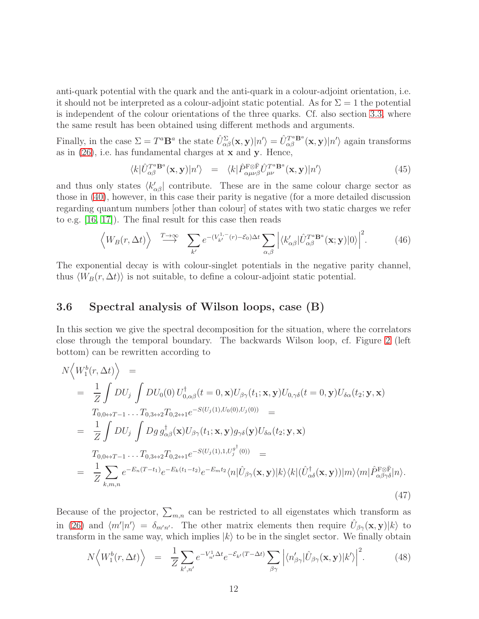anti-quark potential with the quark and the anti-quark in a colour-adjoint orientation, i.e. it should not be interpreted as a colour-adjoint static potential. As for  $\Sigma = 1$  the potential is independent of the colour orientations of the three quarks. Cf. also section [3.3,](#page-6-0) where the same result has been obtained using different methods and arguments.

Finally, in the case  $\Sigma = T^a \mathbf{B}^a$  the state  $\hat{U}_{\alpha\beta}^{\Sigma}(\mathbf{x}, \mathbf{y}) |n'\rangle = \hat{U}_{\alpha\beta}^{T^a \mathbf{B}^a}(\mathbf{x}, \mathbf{y}) |n'\rangle$  again transforms as in  $(26)$ , i.e. has fundamental charges at **x** and **y**. Hence,

$$
\langle k|\hat{U}_{\alpha\beta}^{T^a\mathbf{B}^a}(\mathbf{x},\mathbf{y})|n'\rangle = \langle k|\hat{P}_{\alpha\mu\nu\beta}^{\text{F}\otimes\bar{\text{F}}}\hat{U}_{\mu\nu}^{T^a\mathbf{B}^a}(\mathbf{x},\mathbf{y})|n'\rangle \tag{45}
$$

and thus only states  $\langle k'_{\alpha\beta} |$  contribute. These are in the same colour charge sector as those in [\(40\)](#page-11-0), however, in this case their parity is negative (for a more detailed discussion regarding quantum numbers [other than colour] of states with two static charges we refer to e.g. [\[16,](#page-24-12) [17\]](#page-24-13)). The final result for this case then reads

$$
\left\langle W_B(r, \Delta t) \right\rangle \stackrel{T \to \infty}{\longrightarrow} \sum_{k'} e^{-(V_{k'}^{1,-}(r) - \mathcal{E}_0) \Delta t} \sum_{\alpha, \beta} \left| \langle k'_{\alpha \beta} | \hat{U}_{\alpha \beta}^{T^a} \mathbf{B}^a(\mathbf{x}; \mathbf{y}) | 0 \rangle \right|^2. \tag{46}
$$

The exponential decay is with colour-singlet potentials in the negative parity channel, thus  $\langle W_B(r, \Delta t) \rangle$  is not suitable, to define a colour-adjoint static potential.

### <span id="page-12-0"></span>3.6 Spectral analysis of Wilson loops, case (B)

In this section we give the spectral decomposition for the situation, where the correlators close through the temporal boundary. The backwards Wilson loop, cf. Figure [2](#page-5-0) (left bottom) can be rewritten according to

$$
N\langle W_1^b(r, \Delta t)\rangle =
$$
  
\n
$$
= \frac{1}{Z} \int DU_j \int DU_0(0) U_{0,\alpha\beta}^{\dagger}(t=0, \mathbf{x}) U_{\beta\gamma}(t_1; \mathbf{x}, \mathbf{y}) U_{0,\gamma\delta}(t=0, \mathbf{y}) U_{\delta\alpha}(t_2; \mathbf{y}, \mathbf{x})
$$
  
\n
$$
T_{0,0 \leftrightarrow T-1} \dots T_{0,3 \leftrightarrow 2} T_{0,2 \leftrightarrow 1} e^{-S(U_j(1), U_0(0), U_j(0))} =
$$
  
\n
$$
= \frac{1}{Z} \int DU_j \int Dg \, g_{\alpha\beta}^{\dagger}(\mathbf{x}) U_{\beta\gamma}(t_1; \mathbf{x}, \mathbf{y}) g_{\gamma\delta}(\mathbf{y}) U_{\delta\alpha}(t_2; \mathbf{y}, \mathbf{x})
$$
  
\n
$$
T_{0,0 \leftrightarrow T-1} \dots T_{0,3 \leftrightarrow 2} T_{0,2 \leftrightarrow 1} e^{-S(U_j(1),1,U_j^{g^{\dagger}}(0))} =
$$
  
\n
$$
= \frac{1}{Z} \sum_{k,m,n} e^{-E_n(T-t_1)} e^{-E_k(t_1-t_2)} e^{-E_m t_2} \langle n | \hat{U}_{\beta\gamma}(\mathbf{x}, \mathbf{y}) | k \rangle \langle k | (\hat{U}_{\alpha\delta}^{\dagger}(\mathbf{x}, \mathbf{y})) | m \rangle \langle m | \hat{P}_{\alpha\beta\gamma\delta}^{\text{F} \otimes \bar{\text{F}}} | n \rangle.
$$
\n(47)

Because of the projector,  $\sum_{m,n}$  can be restricted to all eigenstates which transform as in [\(26\)](#page-9-1) and  $\langle m'|n'\rangle = \delta_{m'n'}$ . The other matrix elements then require  $\hat{U}_{\beta\gamma}(\mathbf{x}, \mathbf{y})|k\rangle$  to transform in the same way, which implies  $|k\rangle$  to be in the singlet sector. We finally obtain

$$
N\Big\langle W_1^b(r,\Delta t)\Big\rangle = \frac{1}{Z} \sum_{k',n'} e^{-V_{n'}^1 \Delta t} e^{-\mathcal{E}_{k'}(T-\Delta t)} \sum_{\beta \gamma} \Big| \langle n'_{\beta \gamma} | \hat{U}_{\beta \gamma}(\mathbf{x}, \mathbf{y}) | k' \rangle \Big|^2.
$$
 (48)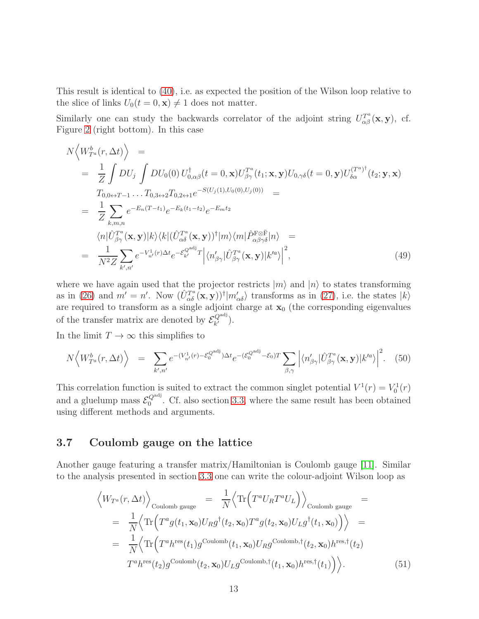This result is identical to [\(40\)](#page-11-0), i.e. as expected the position of the Wilson loop relative to the slice of links  $U_0(t=0, \mathbf{x}) \neq 1$  does not matter.

Similarly one can study the backwards correlator of the adjoint string  $U_{\alpha\beta}^{T^a}(\mathbf{x}, \mathbf{y})$ , cf. Figure [2](#page-5-0) (right bottom). In this case

$$
N\left\langle W_{T^{a}}^{b}(r,\Delta t)\right\rangle =
$$
\n
$$
= \frac{1}{Z} \int DU_{j} \int DU_{0}(0) U_{0,\alpha\beta}^{\dagger}(t=0,\mathbf{x}) U_{\beta\gamma}^{T^{a}}(t_{1};\mathbf{x},\mathbf{y}) U_{0,\gamma\delta}(t=0,\mathbf{y}) U_{\delta\alpha}^{(T^{a})^{\dagger}}(t_{2};\mathbf{y},\mathbf{x})
$$
\n
$$
T_{0,0\leftrightarrow T-1} \dots T_{0,3\leftrightarrow 2} T_{0,2\leftrightarrow 1} e^{-S(U_{j}(1),U_{0}(0),U_{j}(0))} =
$$
\n
$$
= \frac{1}{Z} \sum_{k,m,n} e^{-E_{n}(T-t_{1})} e^{-E_{k}(t_{1}-t_{2})} e^{-E_{m}t_{2}}
$$
\n
$$
\langle n|\hat{U}_{\beta\gamma}^{T^{a}}(\mathbf{x},\mathbf{y})|k\rangle\langle k|(\hat{U}_{\alpha\delta}^{T^{a}}(\mathbf{x},\mathbf{y}))^{\dagger}|m\rangle\langle m|\hat{P}_{\alpha\beta\gamma\delta}^{F\otimes\bar{F}}|n\rangle =
$$
\n
$$
= \frac{1}{N^{2}Z} \sum_{k',n'} e^{-V_{n'}^{\dagger}(r)\Delta t} e^{-\mathcal{E}_{k'}^{\alpha\delta\mathbf{i}}T} \left|\langle n'_{\beta\gamma}|\hat{U}_{\beta\gamma}^{T^{a}}(\mathbf{x},\mathbf{y})|k'^{a}\rangle\right|^{2}, \qquad (49)
$$

where we have again used that the projector restricts  $|m\rangle$  and  $|n\rangle$  to states transforming as in [\(26\)](#page-9-1) and  $m' = n'$ . Now  $(\hat{U}_{\alpha\delta}^{T^a}(\mathbf{x}, \mathbf{y}))^{\dagger} | m'_{\alpha\delta} \rangle$  transforms as in [\(27\)](#page-9-1), i.e. the states  $|k\rangle$ are required to transform as a single adjoint charge at  $\mathbf{x}_0$  (the corresponding eigenvalues of the transfer matrix are denoted by  $\mathcal{E}_{k'}^{Q^{\text{adj}}}$  $k^{\prime}$ ).

In the limit  $T \to \infty$  this simplifies to

$$
N\Big\langle W_{T^a}^b(r,\Delta t)\Big\rangle = \sum_{k',n'} e^{-(V_{n'}^1(r)-\mathcal{E}_0^{\mathcal{Q}^{adj}})\Delta t} e^{-(\mathcal{E}_0^{\mathcal{Q}^{adj}}-\mathcal{E}_0)T} \sum_{\beta,\gamma} \Big|\langle n'_{\beta\gamma}|\hat{U}_{\beta\gamma}^{T^a}(\mathbf{x},\mathbf{y})|k'^a\rangle\Big|^2. \tag{50}
$$

This correlation function is suited to extract the common singlet potential  $V^1(r) = V_0^1(r)$ and a gluelump mass  $\mathcal{E}_0^{Q^{\text{adj}}}$  $\mathbb{Q}^{\mathbb{Z}}$ . Cf. also section [3.3,](#page-8-0) where the same result has been obtained using different methods and arguments.

## <span id="page-13-0"></span>3.7 Coulomb gauge on the lattice

Another gauge featuring a transfer matrix/Hamiltonian is Coulomb gauge [\[11\]](#page-24-7). Similar to the analysis presented in section [3.3](#page-6-0) one can write the colour-adjoint Wilson loop as

$$
\left\langle W_{T^a}(r,\Delta t)\right\rangle_{\text{Coulomb gauge}} = \frac{1}{N} \left\langle \text{Tr}\left(T^a U_R T^a U_L\right) \right\rangle_{\text{Coulomb gauge}} =
$$
\n
$$
= \frac{1}{N} \left\langle \text{Tr}\left(T^a g(t_1,\mathbf{x}_0) U_R g^\dagger(t_2,\mathbf{x}_0) T^a g(t_2,\mathbf{x}_0) U_L g^\dagger(t_1,\mathbf{x}_0) \right) \right\rangle =
$$
\n
$$
= \frac{1}{N} \left\langle \text{Tr}\left(T^a h^{\text{res}}(t_1) g^{\text{Coulomb}}(t_1,\mathbf{x}_0) U_R g^{\text{Coulomb}}(t_2,\mathbf{x}_0) h^{\text{res},\dagger}(t_2) \right. \right.
$$
\n
$$
T^a h^{\text{res}}(t_2) g^{\text{Coulomb}}(t_2,\mathbf{x}_0) U_L g^{\text{Coulomb},\dagger}(t_1,\mathbf{x}_0) h^{\text{res},\dagger}(t_1) \right\rangle. \tag{51}
$$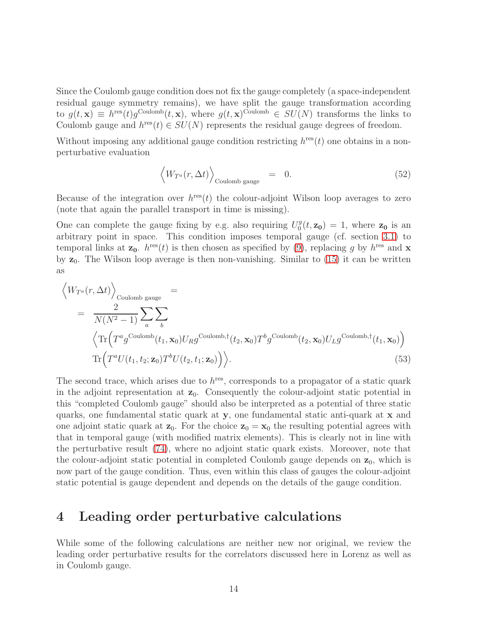Since the Coulomb gauge condition does not fix the gauge completely (a space-independent residual gauge symmetry remains), we have split the gauge transformation according to  $g(t, \mathbf{x}) \equiv h^{\text{res}}(t) g^{\text{Coulomb}}(t, \mathbf{x})$ , where  $g(t, \mathbf{x})^{\text{Coulomb}} \in SU(N)$  transforms the links to Coulomb gauge and  $h^{\text{res}}(t) \in SU(N)$  represents the residual gauge degrees of freedom.

Without imposing any additional gauge condition restricting  $h^{\text{res}}(t)$  one obtains in a nonperturbative evaluation

$$
\left\langle W_{T^a}(r,\Delta t)\right\rangle_{\text{Coulomb gauge}} = 0. \tag{52}
$$

Because of the integration over  $h^{\text{res}}(t)$  the colour-adjoint Wilson loop averages to zero (note that again the parallel transport in time is missing).

One can complete the gauge fixing by e.g. also requiring  $U_0^g$  $\zeta_0^g(t, \mathbf{z_0}) = 1$ , where  $\mathbf{z_0}$  is an arbitrary point in space. This condition imposes temporal gauge (cf. section [3.1\)](#page-4-2) to temporal links at  $\mathbf{z}_0$ .  $h^{\text{res}}(t)$  is then chosen as specified by [\(9\)](#page-4-3), replacing g by  $h^{\text{res}}$  and  $\mathbf{x}$ by  $z_0$ . The Wilson loop average is then non-vanishing. Similar to  $(15)$  it can be written as

$$
\langle W_{T^a}(r, \Delta t) \rangle_{\text{Coulomb gauge}} =
$$
\n
$$
= \frac{2}{N(N^2 - 1)} \sum_a \sum_b \left( \text{Tr} \left( T^a g^{\text{Coulomb}}(t_1, \mathbf{x}_0) U_R g^{\text{Coulomb}, \dagger}(t_2, \mathbf{x}_0) T^b g^{\text{Coulomb}}(t_2, \mathbf{x}_0) U_L g^{\text{Coulomb}, \dagger}(t_1, \mathbf{x}_0) \right) \right)
$$
\n
$$
\text{Tr} \left( T^a U(t_1, t_2; \mathbf{z}_0) T^b U(t_2, t_1; \mathbf{z}_0) \right) \rangle. \tag{53}
$$

The second trace, which arises due to  $h^{\text{res}}$ , corresponds to a propagator of a static quark in the adjoint representation at  $z_0$ . Consequently the colour-adjoint static potential in this "completed Coulomb gauge" should also be interpreted as a potential of three static quarks, one fundamental static quark at y, one fundamental static anti-quark at x and one adjoint static quark at  $z_0$ . For the choice  $z_0 = x_0$  the resulting potential agrees with that in temporal gauge (with modified matrix elements). This is clearly not in line with the perturbative result [\(74\)](#page-19-1), where no adjoint static quark exists. Moreover, note that the colour-adjoint static potential in completed Coulomb gauge depends on  $z_0$ , which is now part of the gauge condition. Thus, even within this class of gauges the colour-adjoint static potential is gauge dependent and depends on the details of the gauge condition.

# <span id="page-14-0"></span>4 Leading order perturbative calculations

While some of the following calculations are neither new nor original, we review the leading order perturbative results for the correlators discussed here in Lorenz as well as in Coulomb gauge.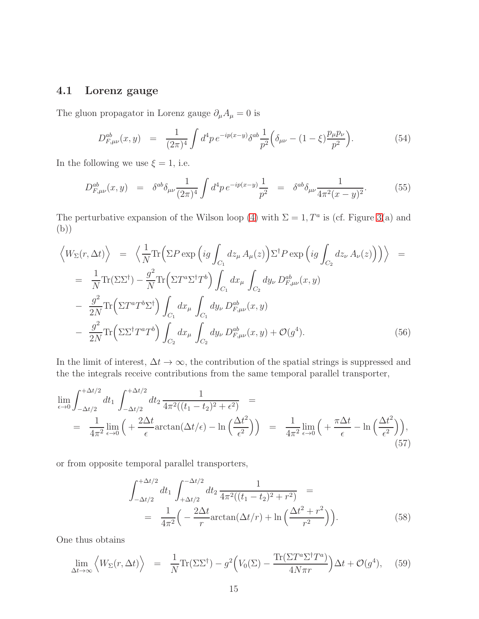## <span id="page-15-2"></span>4.1 Lorenz gauge

The gluon propagator in Lorenz gauge  $\partial_\mu A_\mu=0$  is

$$
D_{F,\mu\nu}^{ab}(x,y) = \frac{1}{(2\pi)^4} \int d^4p \, e^{-ip(x-y)} \delta^{ab} \frac{1}{p^2} \Big( \delta_{\mu\nu} - (1-\xi) \frac{p_\mu p_\nu}{p^2} \Big). \tag{54}
$$

In the following we use  $\xi = 1$ , i.e.

$$
D_{F,\mu\nu}^{ab}(x,y) = \delta^{ab}\delta_{\mu\nu}\frac{1}{(2\pi)^4}\int d^4p \,e^{-ip(x-y)}\frac{1}{p^2} = \delta^{ab}\delta_{\mu\nu}\frac{1}{4\pi^2(x-y)^2}.\tag{55}
$$

The perturbative expansion of the Wilson loop [\(4\)](#page-2-1) with  $\Sigma = 1, T^a$  is (cf. Figure [3\(](#page-16-0)a) and (b))

<span id="page-15-1"></span>
$$
\langle W_{\Sigma}(r, \Delta t) \rangle = \langle \frac{1}{N} \text{Tr} \Big( \Sigma P \exp \Big( ig \int_{C_1} dz_{\mu} A_{\mu}(z) \Big) \Sigma^{\dagger} P \exp \Big( ig \int_{C_2} dz_{\nu} A_{\nu}(z) \Big) \Big) \rangle =
$$
  
\n
$$
= \frac{1}{N} \text{Tr} (\Sigma \Sigma^{\dagger}) - \frac{g^2}{N} \text{Tr} \Big( \Sigma T^a \Sigma^{\dagger} T^b \Big) \int_{C_1} dx_{\mu} \int_{C_2} dy_{\nu} D_{F, \mu\nu}^{ab}(x, y)
$$
  
\n
$$
- \frac{g^2}{2N} \text{Tr} \Big( \Sigma T^a T^b \Sigma^{\dagger} \Big) \int_{C_1} dx_{\mu} \int_{C_1} dy_{\nu} D_{F, \mu\nu}^{ab}(x, y)
$$
  
\n
$$
- \frac{g^2}{2N} \text{Tr} \Big( \Sigma \Sigma^{\dagger} T^a T^b \Big) \int_{C_2} dx_{\mu} \int_{C_2} dy_{\nu} D_{F, \mu\nu}^{ab}(x, y) + \mathcal{O}(g^4).
$$
 (56)

In the limit of interest,  $\Delta t \to \infty$ , the contribution of the spatial strings is suppressed and the the integrals receive contributions from the same temporal parallel transporter,

$$
\lim_{\epsilon \to 0} \int_{-\Delta t/2}^{+\Delta t/2} dt_1 \int_{-\Delta t/2}^{+\Delta t/2} dt_2 \frac{1}{4\pi^2 ((t_1 - t_2)^2 + \epsilon^2)} =
$$
\n
$$
= \frac{1}{4\pi^2} \lim_{\epsilon \to 0} \left( + \frac{2\Delta t}{\epsilon} \arctan(\Delta t/\epsilon) - \ln\left(\frac{\Delta t^2}{\epsilon^2}\right) \right) = \frac{1}{4\pi^2} \lim_{\epsilon \to 0} \left( + \frac{\pi \Delta t}{\epsilon} - \ln\left(\frac{\Delta t^2}{\epsilon^2}\right) \right),
$$
\n(57)

or from opposite temporal parallel transporters,

$$
\int_{-\Delta t/2}^{+\Delta t/2} dt_1 \int_{+\Delta t/2}^{-\Delta t/2} dt_2 \frac{1}{4\pi^2 ((t_1 - t_2)^2 + r^2)} =
$$
  
= 
$$
\frac{1}{4\pi^2} \left( -\frac{2\Delta t}{r} \arctan(\Delta t/r) + \ln\left(\frac{\Delta t^2 + r^2}{r^2}\right) \right).
$$
 (58)

One thus obtains

<span id="page-15-0"></span>
$$
\lim_{\Delta t \to \infty} \left\langle W_{\Sigma}(r, \Delta t) \right\rangle = \frac{1}{N} \text{Tr}(\Sigma \Sigma^{\dagger}) - g^2 \left( V_0(\Sigma) - \frac{\text{Tr}(\Sigma T^a \Sigma^{\dagger} T^a)}{4N \pi r} \right) \Delta t + \mathcal{O}(g^4), \quad (59)
$$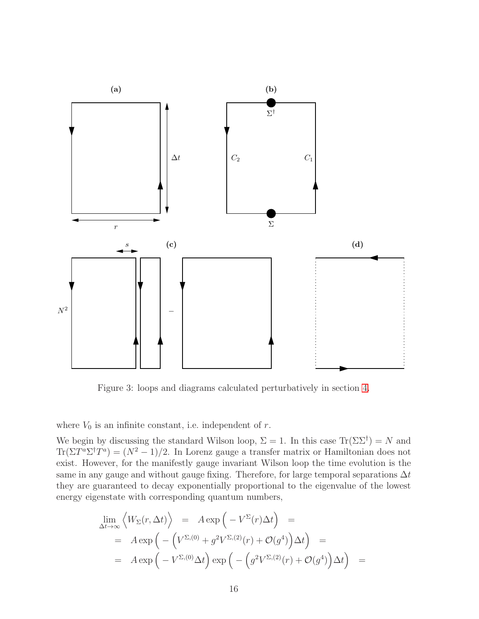

<span id="page-16-0"></span>Figure 3: loops and diagrams calculated perturbatively in section [4.](#page-14-0)

where  $V_0$  is an infinite constant, i.e. independent of r.

We begin by discussing the standard Wilson loop,  $\Sigma = 1$ . In this case  $\text{Tr}(\Sigma \Sigma^{\dagger}) = N$  and  $\text{Tr}(\Sigma T^a \Sigma^{\dagger} T^a) = (N^2 - 1)/2$ . In Lorenz gauge a transfer matrix or Hamiltonian does not exist. However, for the manifestly gauge invariant Wilson loop the time evolution is the same in any gauge and without gauge fixing. Therefore, for large temporal separations  $\Delta t$ they are guaranteed to decay exponentially proportional to the eigenvalue of the lowest energy eigenstate with corresponding quantum numbers,

<span id="page-16-1"></span>
$$
\lim_{\Delta t \to \infty} \left\langle W_{\Sigma}(r, \Delta t) \right\rangle = A \exp \left( -V^{\Sigma}(r) \Delta t \right) =
$$
\n
$$
= A \exp \left( -\left( V^{\Sigma,(0)} + g^2 V^{\Sigma,(2)}(r) + \mathcal{O}(g^4) \right) \Delta t \right) =
$$
\n
$$
= A \exp \left( -V^{\Sigma,(0)} \Delta t \right) \exp \left( -\left( g^2 V^{\Sigma,(2)}(r) + \mathcal{O}(g^4) \right) \Delta t \right) =
$$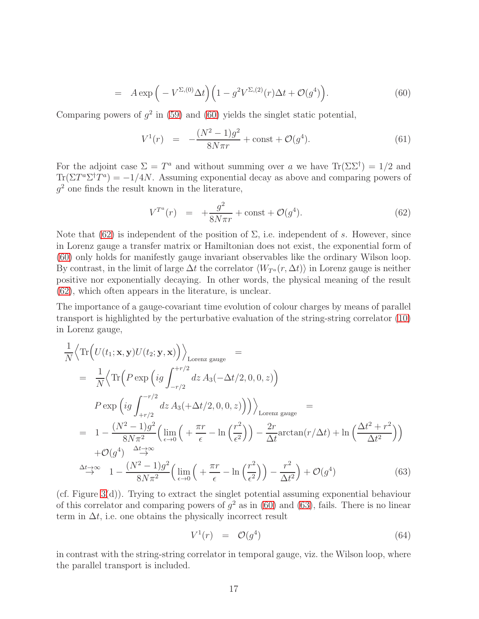$$
= A \exp\left(-V^{\Sigma,(0)}\Delta t\right) \left(1 - g^2 V^{\Sigma,(2)}(r)\Delta t + \mathcal{O}(g^4)\right). \tag{60}
$$

Comparing powers of  $g^2$  in [\(59\)](#page-15-0) and [\(60\)](#page-16-1) yields the singlet static potential,

<span id="page-17-2"></span>
$$
V^{1}(r) = -\frac{(N^{2} - 1)g^{2}}{8N\pi r} + \text{const} + \mathcal{O}(g^{4}).
$$
\n(61)

For the adjoint case  $\Sigma = T^a$  and without summing over a we have  $\text{Tr}(\Sigma \Sigma^{\dagger}) = 1/2$  and  $\text{Tr}(\Sigma T^a \Sigma^{\dagger} T^a) = -1/4N$ . Assuming exponential decay as above and comparing powers of  $g^2$  one finds the result known in the literature,

<span id="page-17-0"></span>
$$
V^{T^a}(r) = +\frac{g^2}{8N\pi r} + \text{const} + \mathcal{O}(g^4). \tag{62}
$$

Note that [\(62\)](#page-17-0) is independent of the position of  $\Sigma$ , i.e. independent of s. However, since in Lorenz gauge a transfer matrix or Hamiltonian does not exist, the exponential form of [\(60\)](#page-16-1) only holds for manifestly gauge invariant observables like the ordinary Wilson loop. By contrast, in the limit of large  $\Delta t$  the correlator  $\langle W_{T^a}(r, \Delta t) \rangle$  in Lorenz gauge is neither positive nor exponentially decaying. In other words, the physical meaning of the result [\(62\)](#page-17-0), which often appears in the literature, is unclear.

The importance of a gauge-covariant time evolution of colour charges by means of parallel transport is highlighted by the perturbative evaluation of the string-string correlator [\(10\)](#page-4-4) in Lorenz gauge,

<span id="page-17-1"></span>
$$
\frac{1}{N} \left\langle \text{Tr} \left( U(t_1; \mathbf{x}, \mathbf{y}) U(t_2; \mathbf{y}, \mathbf{x}) \right) \right\rangle_{\text{Lorenz gauge}} =
$$
\n
$$
= \frac{1}{N} \left\langle \text{Tr} \left( P \exp \left( ig \int_{-r/2}^{+r/2} dz A_3(-\Delta t/2, 0, 0, z) \right) \right) \right\rangle_{\text{Lorenz gauge}} =
$$
\n
$$
= 1 - \frac{(N^2 - 1)g^2}{8N\pi^2} \left( \lim_{\epsilon \to 0} \left( + \frac{\pi r}{\epsilon} - \ln \left( \frac{r^2}{\epsilon^2} \right) \right) - \frac{2r}{\Delta t} \arctan(r/\Delta t) + \ln \left( \frac{\Delta t^2 + r^2}{\Delta t^2} \right) \right)
$$
\n
$$
+ \mathcal{O}(g^4) \stackrel{\Delta t \to \infty}{\to} 1 - \frac{(N^2 - 1)g^2}{8N\pi^2} \left( \lim_{\epsilon \to 0} \left( + \frac{\pi r}{\epsilon} - \ln \left( \frac{r^2}{\epsilon^2} \right) \right) - \frac{r^2}{\Delta t^2} \right) + \mathcal{O}(g^4) \tag{63}
$$

(cf. Figure [3\(](#page-16-0)d)). Trying to extract the singlet potential assuming exponential behaviour of this correlator and comparing powers of  $g^2$  as in [\(60\)](#page-16-1) and [\(63\)](#page-17-1), fails. There is no linear term in  $\Delta t$ , i.e. one obtains the physically incorrect result

$$
V^1(r) = \mathcal{O}(g^4) \tag{64}
$$

in contrast with the string-string correlator in temporal gauge, viz. the Wilson loop, where the parallel transport is included.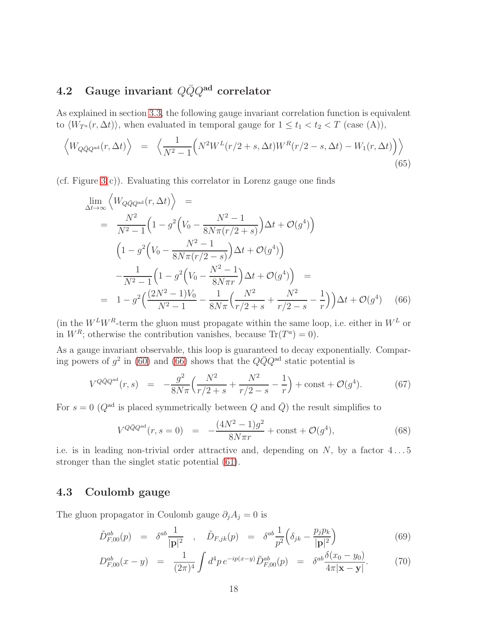# <span id="page-18-1"></span>4.2 Gauge invariant  $Q\bar{Q}Q^{ad}$  correlator

As explained in section [3.3,](#page-6-0) the following gauge invariant correlation function is equivalent to  $\langle W_{T^a}(r, \Delta t) \rangle$ , when evaluated in temporal gauge for  $1 \le t_1 < t_2 < T$  (case (A)),

$$
\left\langle W_{Q\bar{Q}Q^{\text{ad}}}(r,\Delta t)\right\rangle = \left\langle \frac{1}{N^2-1} \Big(N^2 W^L(r/2+s,\Delta t) W^R(r/2-s,\Delta t) - W_1(r,\Delta t)\Big) \right\rangle
$$
\n(65)

 $(cf. Figure 3(c))$  $(cf. Figure 3(c))$  $(cf. Figure 3(c))$ . Evaluating this correlator in Lorenz gauge one finds

<span id="page-18-0"></span>
$$
\lim_{\Delta t \to \infty} \left\langle W_{Q\bar{Q}Q^{\text{ad}}}(r, \Delta t) \right\rangle =
$$
\n
$$
= \frac{N^2}{N^2 - 1} \left( 1 - g^2 \left( V_0 - \frac{N^2 - 1}{8N\pi (r/2 + s)} \right) \Delta t + \mathcal{O}(g^4) \right)
$$
\n
$$
\left( 1 - g^2 \left( V_0 - \frac{N^2 - 1}{8N\pi (r/2 - s)} \right) \Delta t + \mathcal{O}(g^4) \right)
$$
\n
$$
- \frac{1}{N^2 - 1} \left( 1 - g^2 \left( V_0 - \frac{N^2 - 1}{8N\pi r} \right) \Delta t + \mathcal{O}(g^4) \right) =
$$
\n
$$
= 1 - g^2 \left( \frac{(2N^2 - 1)V_0}{N^2 - 1} - \frac{1}{8N\pi} \left( \frac{N^2}{r/2 + s} + \frac{N^2}{r/2 - s} - \frac{1}{r} \right) \right) \Delta t + \mathcal{O}(g^4) \tag{66}
$$

(in the  $W^L W^R$ -term the gluon must propagate within the same loop, i.e. either in  $W^L$  or in  $W^R$ ; otherwise the contribution vanishes, because  $Tr(T^a) = 0$ .

As a gauge invariant observable, this loop is guaranteed to decay exponentially. Comparing powers of  $g^2$  in [\(60\)](#page-16-1) and [\(66\)](#page-18-0) shows that the  $Q\bar{Q}Q^{ad}$  static potential is

$$
V^{Q\bar{Q}Q^{\text{ad}}}(r,s) = -\frac{g^2}{8N\pi} \left( \frac{N^2}{r/2+s} + \frac{N^2}{r/2-s} - \frac{1}{r} \right) + \text{const} + \mathcal{O}(g^4). \tag{67}
$$

For  $s = 0$  ( $Q^{\text{ad}}$  is placed symmetrically between  $Q$  and  $\overline{Q}$ ) the result simplifies to

$$
V^{Q\bar{Q}Q^{\text{ad}}}(r,s=0) = -\frac{(4N^2-1)g^2}{8N\pi r} + \text{const} + \mathcal{O}(g^4),\tag{68}
$$

i.e. is in leading non-trivial order attractive and, depending on  $N$ , by a factor  $4 \dots 5$ stronger than the singlet static potential [\(61\)](#page-17-2).

## 4.3 Coulomb gauge

The gluon propagator in Coulomb gauge  $\partial_j A_j = 0$  is

$$
\tilde{D}_{F,00}^{ab}(p) = \delta^{ab} \frac{1}{|\mathbf{p}|^2} , \quad \tilde{D}_{F,jk}(p) = \delta^{ab} \frac{1}{p^2} \Big( \delta_{jk} - \frac{p_j p_k}{|\mathbf{p}|^2} \Big)
$$
(69)

$$
D_{F,00}^{ab}(x-y) = \frac{1}{(2\pi)^4} \int d^4p \, e^{-ip(x-y)} \tilde{D}_{F,00}^{ab}(p) = \delta^{ab} \frac{\delta(x_0 - y_0)}{4\pi |\mathbf{x} - \mathbf{y}|}. \tag{70}
$$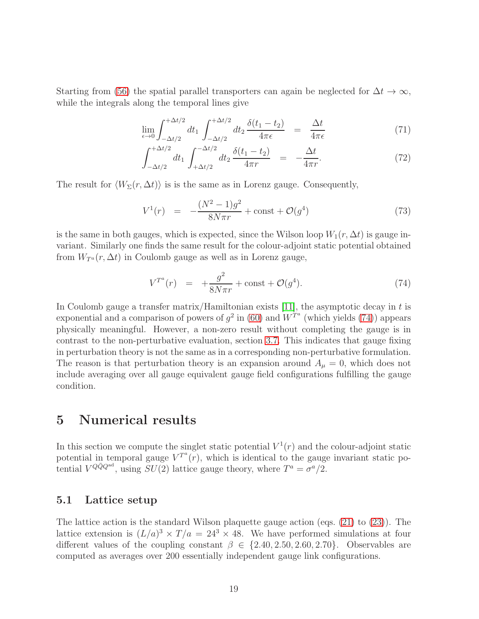Starting from [\(56\)](#page-15-1) the spatial parallel transporters can again be neglected for  $\Delta t \to \infty$ , while the integrals along the temporal lines give

$$
\lim_{\epsilon \to 0} \int_{-\Delta t/2}^{+\Delta t/2} dt_1 \int_{-\Delta t/2}^{+\Delta t/2} dt_2 \frac{\delta(t_1 - t_2)}{4\pi\epsilon} = \frac{\Delta t}{4\pi\epsilon}
$$
\n(71)

$$
\int_{-\Delta t/2}^{+\Delta t/2} dt_1 \int_{+\Delta t/2}^{-\Delta t/2} dt_2 \frac{\delta(t_1 - t_2)}{4\pi r} = -\frac{\Delta t}{4\pi r}.
$$
 (72)

The result for  $\langle W_{\Sigma}(r, \Delta t) \rangle$  is is the same as in Lorenz gauge. Consequently,

$$
V^{1}(r) = -\frac{(N^{2} - 1)g^{2}}{8N\pi r} + \text{const} + \mathcal{O}(g^{4})
$$
\n(73)

is the same in both gauges, which is expected, since the Wilson loop  $W_1(r, \Delta t)$  is gauge invariant. Similarly one finds the same result for the colour-adjoint static potential obtained from  $W_{T^a}(r, \Delta t)$  in Coulomb gauge as well as in Lorenz gauge,

<span id="page-19-1"></span>
$$
V^{T^a}(r) = +\frac{g^2}{8N\pi r} + \text{const} + \mathcal{O}(g^4). \tag{74}
$$

In Coulomb gauge a transfer matrix/Hamiltonian exists [\[11\]](#page-24-7), the asymptotic decay in  $t$  is exponential and a comparison of powers of  $g^2$  in [\(60\)](#page-16-1) and  $W^{T^a}$  (which yields [\(74\)](#page-19-1)) appears physically meaningful. However, a non-zero result without completing the gauge is in contrast to the non-perturbative evaluation, section [3.7.](#page-13-0) This indicates that gauge fixing in perturbation theory is not the same as in a corresponding non-perturbative formulation. The reason is that perturbation theory is an expansion around  $A_{\mu} = 0$ , which does not include averaging over all gauge equivalent gauge field configurations fulfilling the gauge condition.

# <span id="page-19-0"></span>5 Numerical results

In this section we compute the singlet static potential  $V^1(r)$  and the colour-adjoint static potential in temporal gauge  $V^{T^a}(r)$ , which is identical to the gauge invariant static potential  $V^{Q\bar{Q}Q^{ad}}$ , using  $SU(2)$  lattice gauge theory, where  $T^a = \sigma^a/2$ .

### 5.1 Lattice setup

The lattice action is the standard Wilson plaquette gauge action (eqs. [\(21\)](#page-8-1) to [\(23\)](#page-8-1)). The lattice extension is  $(L/a)^3 \times T/a = 24^3 \times 48$ . We have performed simulations at four different values of the coupling constant  $\beta \in \{2.40, 2.50, 2.60, 2.70\}$ . Observables are computed as averages over 200 essentially independent gauge link configurations.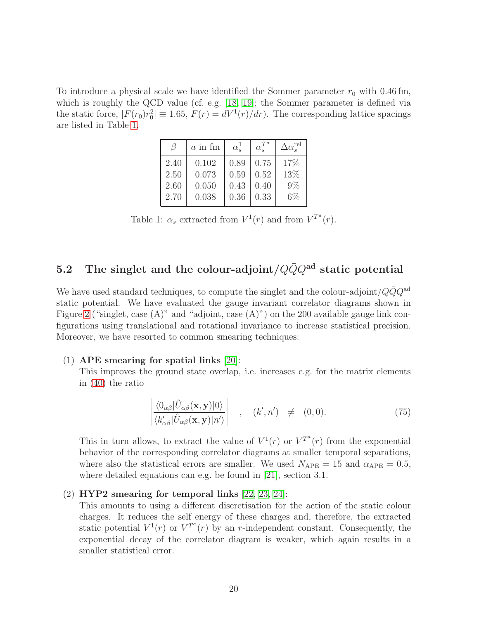To introduce a physical scale we have identified the Sommer parameter  $r_0$  with 0.46 fm, which is roughly the QCD value (cf. e.g. [\[18,](#page-24-14) [19\]](#page-24-15); the Sommer parameter is defined via the static force,  $|F(r_0)r_0^2| \equiv 1.65, F(r) = dV^1(r)/dr$ . The corresponding lattice spacings are listed in Table [1.](#page-20-0)

|      | $a$ in fm | $\alpha_s^1$ | $\alpha_s^{T^a}$ | $\Delta \alpha_s^{\rm rel}$ |
|------|-----------|--------------|------------------|-----------------------------|
| 2.40 | 0.102     | 0.89         | 0.75             | 17%                         |
| 2.50 | 0.073     | 0.59         | 0.52             | 13%                         |
| 2.60 | 0.050     | 0.43         | 0.40             | 9%                          |
| 2.70 | 0.038     | 0.36         | 0.33             | $6\%$                       |

<span id="page-20-0"></span>Table 1:  $\alpha_s$  extracted from  $V^1(r)$  and from  $V^{T^a}(r)$ .

# 5.2 The singlet and the colour-adjoint/ $Q\bar{Q}Q^{ad}$  static potential

We have used standard techniques, to compute the singlet and the colour-adjoint/ $QQQ^{\text{ad}}$ static potential. We have evaluated the gauge invariant correlator diagrams shown in Figure [2](#page-5-0) ("singlet, case (A)" and "adjoint, case (A)") on the 200 available gauge link configurations using translational and rotational invariance to increase statistical precision. Moreover, we have resorted to common smearing techniques:

#### (1) APE smearing for spatial links [\[20\]](#page-24-16):

This improves the ground state overlap, i.e. increases e.g. for the matrix elements in [\(40\)](#page-11-0) the ratio

$$
\left| \frac{\langle 0_{\alpha\beta} | \hat{U}_{\alpha\beta}(\mathbf{x}, \mathbf{y}) | 0 \rangle}{\langle k'_{\alpha\beta} | \hat{U}_{\alpha\beta}(\mathbf{x}, \mathbf{y}) | n' \rangle} \right| , \quad (k', n') \neq (0, 0). \tag{75}
$$

This in turn allows, to extract the value of  $V^1(r)$  or  $V^{T^a}(r)$  from the exponential behavior of the corresponding correlator diagrams at smaller temporal separations, where also the statistical errors are smaller. We used  $N_{\text{APE}} = 15$  and  $\alpha_{\text{APE}} = 0.5$ , where detailed equations can e.g. be found in [\[21\]](#page-24-17), section 3.1.

#### (2) HYP2 smearing for temporal links [\[22,](#page-25-0) [23,](#page-25-1) [24\]](#page-25-2):

This amounts to using a different discretisation for the action of the static colour charges. It reduces the self energy of these charges and, therefore, the extracted static potential  $V^1(r)$  or  $V^{T^a}(r)$  by an r-independent constant. Consequently, the exponential decay of the correlator diagram is weaker, which again results in a smaller statistical error.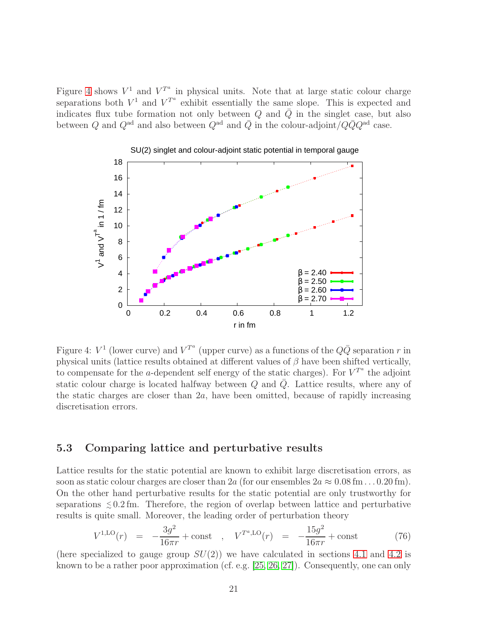Figure [4](#page-21-0) shows  $V^1$  and  $V^{T^a}$  in physical units. Note that at large static colour charge separations both  $V^1$  and  $V^{T^a}$  exhibit essentially the same slope. This is expected and indicates flux tube formation not only between  $Q$  and  $\overline{Q}$  in the singlet case, but also between Q and  $Q^{\text{ad}}$  and also between  $Q^{\text{ad}}$  and  $\overline{Q}$  in the colour-adjoint/ $Q\overline{Q}Q^{\text{ad}}$  case.



<span id="page-21-0"></span>Figure 4:  $V^1$  (lower curve) and  $V^{T^a}$  (upper curve) as a functions of the  $Q\bar{Q}$  separation r in physical units (lattice results obtained at different values of  $\beta$  have been shifted vertically, to compensate for the a-dependent self energy of the static charges). For  $V^{T^a}$  the adjoint static colour charge is located halfway between  $Q$  and  $Q$ . Lattice results, where any of the static charges are closer than  $2a$ , have been omitted, because of rapidly increasing discretisation errors.

## 5.3 Comparing lattice and perturbative results

Lattice results for the static potential are known to exhibit large discretisation errors, as soon as static colour charges are closer than 2a (for our ensembles  $2a \approx 0.08$  fm . . . 0.20 fm). On the other hand perturbative results for the static potential are only trustworthy for separations  $\leq 0.2$  fm. Therefore, the region of overlap between lattice and perturbative results is quite small. Moreover, the leading order of perturbation theory

$$
V^{1,\text{LO}}(r) = -\frac{3g^2}{16\pi r} + \text{const} \quad , \quad V^{T^a,\text{LO}}(r) = -\frac{15g^2}{16\pi r} + \text{const} \tag{76}
$$

(here specialized to gauge group  $SU(2)$ ) we have calculated in sections [4.1](#page-15-2) and [4.2](#page-18-1) is known to be a rather poor approximation (cf. e.g. [\[25,](#page-25-3) [26,](#page-25-4) [27\]](#page-25-5)). Consequently, one can only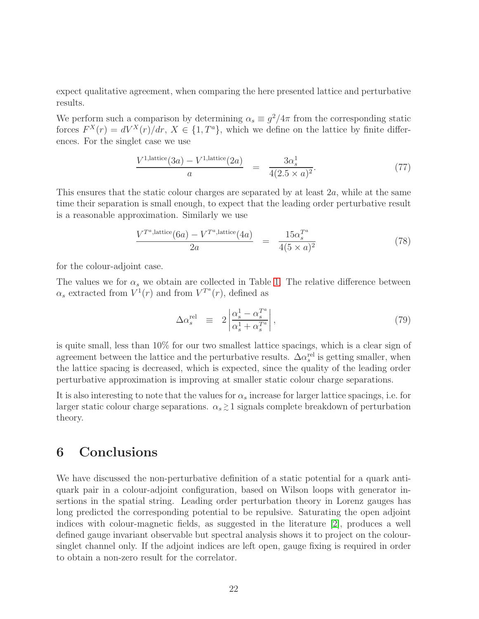expect qualitative agreement, when comparing the here presented lattice and perturbative results.

We perform such a comparison by determining  $\alpha_s \equiv g^2/4\pi$  from the corresponding static forces  $F^{X}(r) = dV^{X}(r)/dr$ ,  $X \in \{1, T^{a}\}$ , which we define on the lattice by finite differences. For the singlet case we use

$$
\frac{V^{1,\text{lattice}}(3a) - V^{1,\text{lattice}}(2a)}{a} = \frac{3\alpha_s^1}{4(2.5 \times a)^2}.
$$
 (77)

This ensures that the static colour charges are separated by at least  $2a$ , while at the same time their separation is small enough, to expect that the leading order perturbative result is a reasonable approximation. Similarly we use

$$
\frac{V^{T^a, \text{lattice}}(6a) - V^{T^a, \text{lattice}}(4a)}{2a} = \frac{15\alpha_s^{T^a}}{4(5 \times a)^2}
$$
 (78)

for the colour-adjoint case.

The values we for  $\alpha_s$  we obtain are collected in Table [1.](#page-20-0) The relative difference between  $\alpha_s$  extracted from  $V^1(r)$  and from  $V^{T^a}(r)$ , defined as

$$
\Delta \alpha_s^{\text{rel}} \equiv 2 \left| \frac{\alpha_s^1 - \alpha_s^{T^a}}{\alpha_s^1 + \alpha_s^{T^a}} \right|,\tag{79}
$$

is quite small, less than 10% for our two smallest lattice spacings, which is a clear sign of agreement between the lattice and the perturbative results.  $\Delta \alpha_s^{\text{rel}}$  is getting smaller, when the lattice spacing is decreased, which is expected, since the quality of the leading order perturbative approximation is improving at smaller static colour charge separations.

It is also interesting to note that the values for  $\alpha_s$  increase for larger lattice spacings, i.e. for larger static colour charge separations.  $\alpha_s \gtrsim 1$  signals complete breakdown of perturbation theory.

# 6 Conclusions

We have discussed the non-perturbative definition of a static potential for a quark antiquark pair in a colour-adjoint configuration, based on Wilson loops with generator insertions in the spatial string. Leading order perturbation theory in Lorenz gauges has long predicted the corresponding potential to be repulsive. Saturating the open adjoint indices with colour-magnetic fields, as suggested in the literature [\[2\]](#page-23-1), produces a well defined gauge invariant observable but spectral analysis shows it to project on the coloursinglet channel only. If the adjoint indices are left open, gauge fixing is required in order to obtain a non-zero result for the correlator.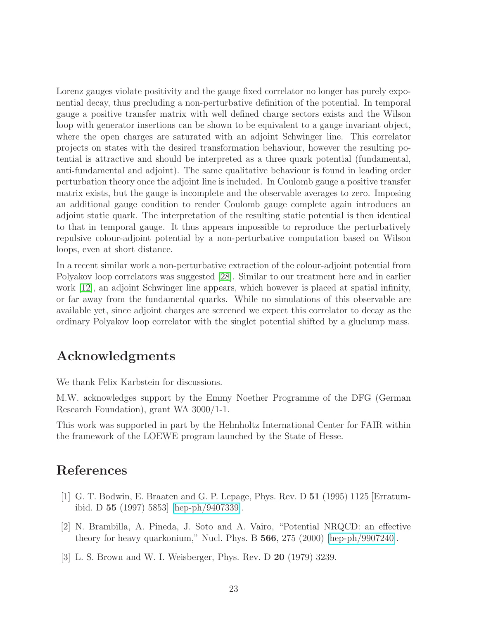Lorenz gauges violate positivity and the gauge fixed correlator no longer has purely exponential decay, thus precluding a non-perturbative definition of the potential. In temporal gauge a positive transfer matrix with well defined charge sectors exists and the Wilson loop with generator insertions can be shown to be equivalent to a gauge invariant object, where the open charges are saturated with an adjoint Schwinger line. This correlator projects on states with the desired transformation behaviour, however the resulting potential is attractive and should be interpreted as a three quark potential (fundamental, anti-fundamental and adjoint). The same qualitative behaviour is found in leading order perturbation theory once the adjoint line is included. In Coulomb gauge a positive transfer matrix exists, but the gauge is incomplete and the observable averages to zero. Imposing an additional gauge condition to render Coulomb gauge complete again introduces an adjoint static quark. The interpretation of the resulting static potential is then identical to that in temporal gauge. It thus appears impossible to reproduce the perturbatively repulsive colour-adjoint potential by a non-perturbative computation based on Wilson loops, even at short distance.

In a recent similar work a non-perturbative extraction of the colour-adjoint potential from Polyakov loop correlators was suggested [\[28\]](#page-25-6). Similar to our treatment here and in earlier work [\[12\]](#page-24-8), an adjoint Schwinger line appears, which however is placed at spatial infinity, or far away from the fundamental quarks. While no simulations of this observable are available yet, since adjoint charges are screened we expect this correlator to decay as the ordinary Polyakov loop correlator with the singlet potential shifted by a gluelump mass.

# Acknowledgments

We thank Felix Karbstein for discussions.

M.W. acknowledges support by the Emmy Noether Programme of the DFG (German Research Foundation), grant WA 3000/1-1.

This work was supported in part by the Helmholtz International Center for FAIR within the framework of the LOEWE program launched by the State of Hesse.

# <span id="page-23-0"></span>References

- [1] G. T. Bodwin, E. Braaten and G. P. Lepage, Phys. Rev. D 51 (1995) 1125 [Erratumibid. D 55 (1997) 5853] [\[hep-ph/9407339\]](http://arxiv.org/abs/hep-ph/9407339).
- <span id="page-23-1"></span>[2] N. Brambilla, A. Pineda, J. Soto and A. Vairo, "Potential NRQCD: an effective theory for heavy quarkonium," Nucl. Phys. B 566, 275 (2000) [\[hep-ph/9907240\]](http://arxiv.org/abs/hep-ph/9907240).
- <span id="page-23-2"></span>[3] L. S. Brown and W. I. Weisberger, Phys. Rev. D 20 (1979) 3239.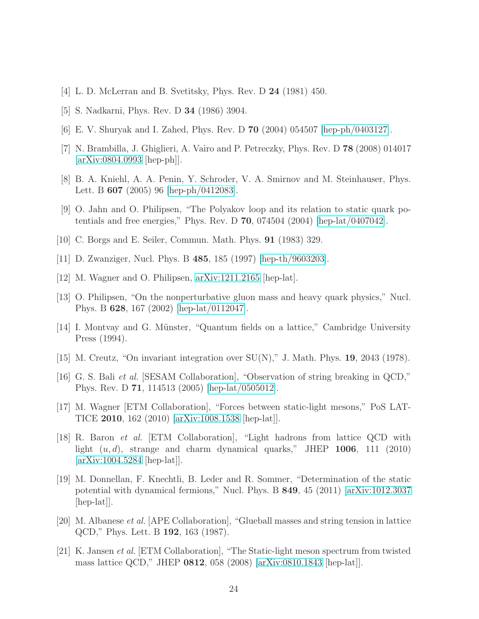- <span id="page-24-1"></span><span id="page-24-0"></span>[4] L. D. McLerran and B. Svetitsky, Phys. Rev. D 24 (1981) 450.
- <span id="page-24-2"></span>[5] S. Nadkarni, Phys. Rev. D 34 (1986) 3904.
- <span id="page-24-3"></span>[6] E. V. Shuryak and I. Zahed, Phys. Rev. D 70 (2004) 054507 [\[hep-ph/0403127\]](http://arxiv.org/abs/hep-ph/0403127).
- <span id="page-24-4"></span>[7] N. Brambilla, J. Ghiglieri, A. Vairo and P. Petreczky, Phys. Rev. D 78 (2008) 014017 [\[arXiv:0804.0993](http://arxiv.org/abs/0804.0993) [hep-ph]].
- <span id="page-24-5"></span>[8] B. A. Kniehl, A. A. Penin, Y. Schroder, V. A. Smirnov and M. Steinhauser, Phys. Lett. B 607 (2005) 96 [\[hep-ph/0412083\]](http://arxiv.org/abs/hep-ph/0412083).
- <span id="page-24-6"></span>[9] O. Jahn and O. Philipsen, "The Polyakov loop and its relation to static quark po-tentials and free energies," Phys. Rev. D 70, 074504 (2004) [\[hep-lat/0407042\]](http://arxiv.org/abs/hep-lat/0407042).
- <span id="page-24-7"></span>[10] C. Borgs and E. Seiler, Commun. Math. Phys. 91 (1983) 329.
- <span id="page-24-8"></span>[11] D. Zwanziger, Nucl. Phys. B 485, 185 (1997) [\[hep-th/9603203\]](http://arxiv.org/abs/hep-th/9603203).
- <span id="page-24-9"></span>[12] M. Wagner and O. Philipsen, [arXiv:1211.2165](http://arxiv.org/abs/1211.2165) [hep-lat].
- <span id="page-24-10"></span>[13] O. Philipsen, "On the nonperturbative gluon mass and heavy quark physics," Nucl. Phys. B 628, 167 (2002) [\[hep-lat/0112047\]](http://arxiv.org/abs/hep-lat/0112047).
- [14] I. Montvay and G. Münster, "Quantum fields on a lattice," Cambridge University Press (1994).
- <span id="page-24-12"></span><span id="page-24-11"></span>[15] M. Creutz, "On invariant integration over  $SU(N)$ ," J. Math. Phys. 19, 2043 (1978).
- <span id="page-24-13"></span>[16] G. S. Bali et al. [SESAM Collaboration], "Observation of string breaking in QCD," Phys. Rev. D 71, 114513 (2005) [\[hep-lat/0505012\]](http://arxiv.org/abs/hep-lat/0505012).
- [17] M. Wagner [ETM Collaboration], "Forces between static-light mesons," PoS LAT-TICE 2010, 162 (2010) [\[arXiv:1008.1538](http://arxiv.org/abs/1008.1538) [hep-lat]].
- <span id="page-24-14"></span>[18] R. Baron et al. [ETM Collaboration], "Light hadrons from lattice QCD with light  $(u, d)$ , strange and charm dynamical quarks," JHEP 1006, 111 (2010) [\[arXiv:1004.5284](http://arxiv.org/abs/1004.5284) [hep-lat]].
- <span id="page-24-15"></span>[19] M. Donnellan, F. Knechtli, B. Leder and R. Sommer, "Determination of the static potential with dynamical fermions," Nucl. Phys. B 849, 45 (2011) [\[arXiv:1012.3037](http://arxiv.org/abs/1012.3037) [hep-lat].
- <span id="page-24-16"></span>[20] M. Albanese et al. [APE Collaboration], "Glueball masses and string tension in lattice QCD," Phys. Lett. B 192, 163 (1987).
- <span id="page-24-17"></span>[21] K. Jansen et al. [ETM Collaboration], "The Static-light meson spectrum from twisted mass lattice QCD," JHEP 0812, 058 (2008) [\[arXiv:0810.1843](http://arxiv.org/abs/0810.1843) [hep-lat]].